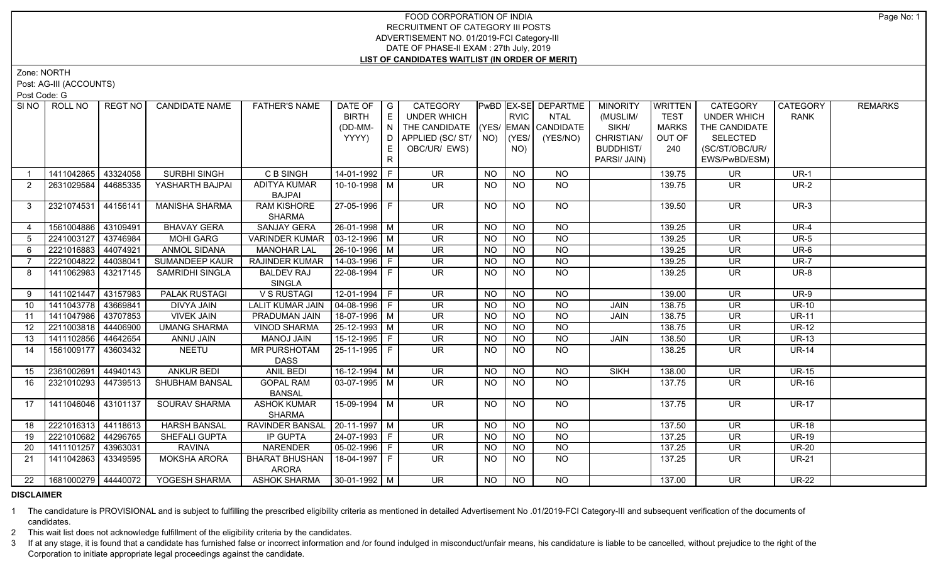Zone: NORTH

Post: AG-III (ACCOUNTS)

Post Code: G

| SI <sub>NO</sub> | ROLL NO             | <b>REGT NO</b>     | <b>CANDIDATE NAME</b> | <b>FATHER'S NAME</b>           | DATE OF $ G $                |    | CATEGORY                           |           |             | PwBD EX-SE DEPARTME | <b>MINORITY</b>  | WRITTEN      | CATEGORY                 | <b>CATEGORY</b> | <b>REMARKS</b> |
|------------------|---------------------|--------------------|-----------------------|--------------------------------|------------------------------|----|------------------------------------|-----------|-------------|---------------------|------------------|--------------|--------------------------|-----------------|----------------|
|                  |                     |                    |                       |                                | <b>BIRTH</b>                 | E  | <b>UNDER WHICH</b>                 |           | <b>RVIC</b> | NTAL                | (MUSLIM/         | <b>TEST</b>  | <b>UNDER WHICH</b>       | <b>RANK</b>     |                |
|                  |                     |                    |                       |                                | (DD-MM-                      | N  | THE CANDIDATE (YES/ EMAN CANDIDATE |           |             |                     | SIKH/            | <b>MARKS</b> | THE CANDIDATE            |                 |                |
|                  |                     |                    |                       |                                | YYYY)                        | D  | APPLIED (SC/ ST/   NO)             |           | (YES/       | (YES/NO)            | CHRISTIAN/       | OUT OF       | <b>SELECTED</b>          |                 |                |
|                  |                     |                    |                       |                                |                              | E. | OBC/UR/ EWS)                       |           | NO)         |                     | <b>BUDDHIST/</b> | 240          | (SC/ST/OBC/UR/           |                 |                |
|                  |                     |                    |                       |                                |                              | R  |                                    |           |             |                     | PARSI/ JAIN)     |              | EWS/PwBD/ESM)            |                 |                |
|                  | 1411042865          | 43324058           | SURBHI SINGH          | C B SINGH                      | 14-01-1992 F                 |    | <b>UR</b>                          | <b>NO</b> | <b>NO</b>   | <b>NO</b>           |                  | 139.75       | <b>UR</b>                | $UR-1$          |                |
| 2                | 2631029584          | 44685335           | YASHARTH BAJPAI       | <b>ADITYA KUMAR</b>            | 10-10-1998   M               |    | UR.                                | <b>NO</b> | <b>NO</b>   | <b>NO</b>           |                  | 139.75       | <b>UR</b>                | <b>UR-2</b>     |                |
|                  |                     |                    |                       | <b>BAJPAI</b>                  |                              |    |                                    |           |             |                     |                  |              |                          |                 |                |
| 3                | 2321074531 44156141 |                    | <b>MANISHA SHARMA</b> | <b>RAM KISHORE</b>             | 27-05-1996 F                 |    | <b>UR</b>                          | <b>NO</b> | NO.         | <b>NO</b>           |                  | 139.50       | <b>UR</b>                | $UR-3$          |                |
|                  |                     |                    |                       | <b>SHARMA</b>                  |                              |    |                                    |           |             |                     |                  |              |                          |                 |                |
| $\overline{4}$   | 1561004886          | 43109491           | <b>BHAVAY GERA</b>    | <b>SANJAY GERA</b>             | 26-01-1998 M                 |    | <b>UR</b>                          | <b>NO</b> | <b>NO</b>   | <b>NO</b>           |                  | 139.25       | <b>UR</b>                | <b>UR-4</b>     |                |
| 5                | 2241003127 43746984 |                    | <b>MOHI GARG</b>      | <b>VARINDER KUMAR</b>          | $\vert$ 03-12-1996 $\vert$ M |    | $\overline{\mathsf{UR}}$           | <b>NO</b> | <b>NO</b>   | $\overline{NQ}$     |                  | 139.25       | $\overline{\mathsf{UR}}$ | $UR-5$          |                |
| 6                | 2221016883 44074921 |                    | <b>ANMOL SIDANA</b>   | <b>MANOHAR LAL</b>             | $26 - 10 - 1996$ M           |    | UR                                 | <b>NO</b> | <b>NO</b>   | $\overline{NQ}$     |                  | 139.25       | $\overline{\mathsf{UR}}$ | $UR-6$          |                |
| $\overline{7}$   | 2221004822          | 44038041           | SUMANDEEP KAUR        | <b>RAJINDER KUMAR</b>          | $14 - 03 - 1996$ F           |    | <b>UR</b>                          | <b>NO</b> | <b>NO</b>   | <b>NO</b>           |                  | 139.25       | <b>UR</b>                | <b>UR-7</b>     |                |
| 8                | 1411062983          | 43217145           | SAMRIDHI SINGLA       | <b>BALDEV RAJ</b>              | 22-08-1994 F                 |    | <b>UR</b>                          | <b>NO</b> | <b>NO</b>   | <b>NO</b>           |                  | 139.25       | <b>UR</b>                | <b>UR-8</b>     |                |
|                  |                     |                    |                       | SINGLA                         |                              |    |                                    |           |             |                     |                  |              |                          |                 |                |
| 9                | 1411021447 43157983 |                    | <b>PALAK RUSTAGI</b>  | V S RUSTAGI                    | $12-01-1994$ F               |    | $\overline{\mathsf{UR}}$           | <b>NO</b> | <b>NO</b>   | <b>NO</b>           |                  | 139.00       | <b>UR</b>                | <b>UR-9</b>     |                |
| 10               | 1411043778 43669841 |                    | <b>DIVYA JAIN</b>     | <b>LALIT KUMAR JAIN</b>        | $ 04-08-1996 F$              |    | <b>UR</b>                          | <b>NO</b> | <b>NO</b>   | <b>NO</b>           | <b>JAIN</b>      | 138.75       | <b>UR</b>                | <b>UR-10</b>    |                |
| 11               | 1411047986 43707853 |                    | <b>VIVEK JAIN</b>     | PRADUMAN JAIN                  | $18-07-1996$ M               |    | <b>UR</b>                          | <b>NO</b> | <b>NO</b>   | <b>NO</b>           | JAIN             | 138.75       | UR                       | <b>UR-11</b>    |                |
| 12               | 2211003818 44406900 |                    | <b>UMANG SHARMA</b>   | <b>VINOD SHARMA</b>            | 25-12-1993   M               |    | <b>UR</b>                          | <b>NO</b> | <b>NO</b>   | <b>NO</b>           |                  | 138.75       | <b>UR</b>                | $UR-12$         |                |
| 13               | 1411102856 44642654 |                    | ANNU JAIN             | MANOJ JAIN                     | 15-12-1995 F                 |    | UR                                 | <b>NO</b> | <b>NO</b>   | <b>NO</b>           | JAIN             | 138.50       | UR                       | <b>UR-13</b>    |                |
| 14               | 1561009177 43603432 |                    | <b>NEETU</b>          | MR PURSHOTAM                   | 25-11-1995 F                 |    | $\overline{\mathsf{UR}}$           | <b>NO</b> | <b>NO</b>   | <b>NO</b>           |                  | 138.25       | <b>UR</b>                | <b>UR-14</b>    |                |
|                  |                     |                    |                       | <b>DASS</b>                    |                              |    |                                    |           |             |                     |                  |              |                          |                 |                |
| 15               | 2361002691          | $ 44940143\rangle$ | <b>ANKUR BEDI</b>     | ANIL BEDI                      | $16-12-1994$ M               |    | $\overline{\mathsf{UR}}$           | <b>NO</b> | <b>NO</b>   | <b>NO</b>           | <b>SIKH</b>      | 138.00       | <b>UR</b>                | <b>UR-15</b>    |                |
| 16               | 2321010293 44739513 |                    | SHUBHAM BANSAL        | <b>GOPAL RAM</b>               | $\boxed{03-07-1995}$ M       |    | <b>UR</b>                          | <b>NO</b> | NO.         | <b>NO</b>           |                  | 137.75       | <b>UR</b>                | <b>UR-16</b>    |                |
|                  |                     |                    |                       | <b>BANSAL</b>                  |                              |    |                                    |           |             |                     |                  |              |                          |                 |                |
| 17               | 1411046046 43101137 |                    | <b>SOURAV SHARMA</b>  | <b>ASHOK KUMAR</b>             | $15-09-1994$ M               |    | $\overline{\mathsf{UR}}$           | <b>NO</b> | <b>NO</b>   | $N$ <sup>O</sup>    |                  | 137.75       | $\overline{\mathsf{UR}}$ | <b>UR-17</b>    |                |
|                  |                     |                    |                       | <b>SHARMA</b>                  |                              |    |                                    |           |             |                     |                  |              |                          |                 |                |
| 18               | 2221016313 44118613 |                    | <b>HARSH BANSAL</b>   | RAVINDER BANSAL                | $ 20-11-1997 M$              |    | <b>UR</b>                          | <b>NO</b> | <b>NO</b>   | <b>NO</b>           |                  | 137.50       | <b>UR</b>                | <b>UR-18</b>    |                |
| 19               | 2221010682 44296765 |                    | SHEFALI GUPTA         | IP GUPTA                       | 24-07-1993 F                 |    | <b>UR</b>                          | NO.       | <b>NO</b>   | <b>NO</b>           |                  | 137.25       | <b>UR</b>                | <b>UR-19</b>    |                |
| 20               | 1411101257 43963031 |                    | <b>RAVINA</b>         | <b>NARENDER</b>                | $05-02-1996$ F               |    | <b>UR</b>                          | <b>NO</b> | <b>NO</b>   | <b>NO</b>           |                  | 137.25       | <b>UR</b>                | <b>UR-20</b>    |                |
| 21               | 1411042863          | 43349595           | <b>MOKSHA ARORA</b>   | <b>BHARAT BHUSHAN</b><br>ARORA |                              |    | UR                                 | NO.       | NO.         | NO.                 |                  | 137.25       | UR.                      | <b>UR-21</b>    |                |
| 22               | 1681000279 44440072 |                    | YOGESH SHARMA         | ASHOK SHARMA   30-01-1992   M  |                              |    | $\overline{\mathsf{UR}}$           | NO.       | NO          | NO.                 |                  | 137.00       | <b>UR</b>                | <b>UR-22</b>    |                |

## **DISCLAIMER**

1 The candidature is PROVISIONAL and is subject to fulfilling the prescribed eligibility criteria as mentioned in detailed Advertisement No .01/2019-FCI Category-III and subsequent verification of the documents of candidates.

2 This wait list does not acknowledge fulfillment of the eligibility criteria by the candidates.

3 If at any stage, it is found that a candidate has furnished false or incorrect information and /or found indulged in misconduct/unfair means, his candidature is liable to be cancelled, without prejudice to the right of t Corporation to initiate appropriate legal proceedings against the candidate.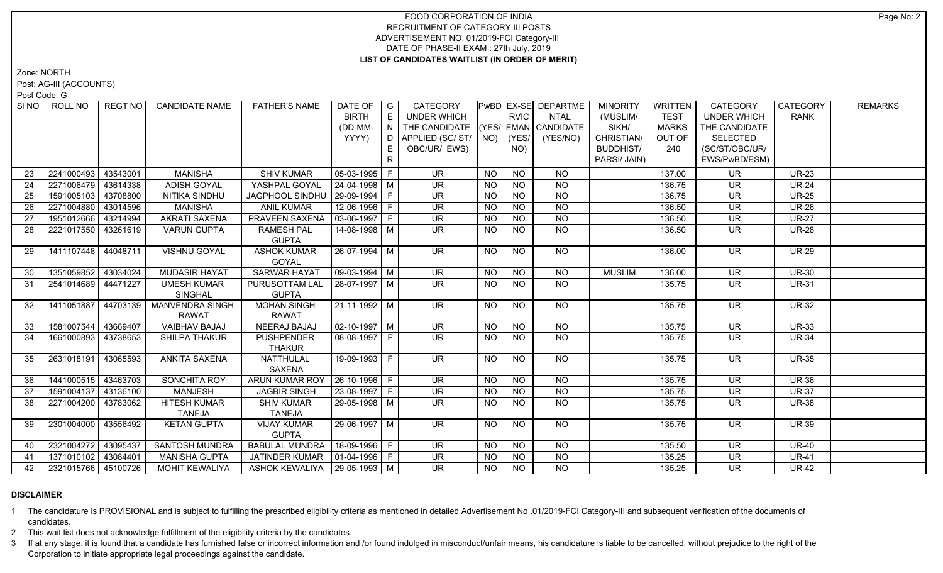Zone: NORTH

Post: AG-III (ACCOUNTS)

Post Code: G

| SI NO I | ROLL NO             | REGT NO I | <b>CANDIDATE NAME</b> | <b>FATHER'S NAME</b>             | DATE OF            | $\overline{\phantom{a}}$ G | CATEGORY                           |           |                | PwBD EX-SE DEPARTME | <b>MINORITY</b>  | <b>WRITTEN</b> | <b>CATEGORY</b>          | <b>CATEGORY</b> | <b>REMARKS</b> |
|---------|---------------------|-----------|-----------------------|----------------------------------|--------------------|----------------------------|------------------------------------|-----------|----------------|---------------------|------------------|----------------|--------------------------|-----------------|----------------|
|         |                     |           |                       |                                  | <b>BIRTH</b>       | E                          | <b>UNDER WHICH</b>                 |           | <b>RVIC</b>    | <b>NTAL</b>         | (MUSLIM/         | <b>TEST</b>    | <b>UNDER WHICH</b>       | <b>RANK</b>     |                |
|         |                     |           |                       |                                  | (DD-MM-            | N                          | THE CANDIDATE (YES/ EMAN CANDIDATE |           |                |                     | SIKH/            | <b>MARKS</b>   | THE CANDIDATE            |                 |                |
|         |                     |           |                       |                                  | YYYY)              | D                          | APPLIED (SC/ST/                    |           | $NO)$ (YES/    | (YES/NO)            | CHRISTIAN/       | OUT OF         | <b>SELECTED</b>          |                 |                |
|         |                     |           |                       |                                  |                    | E                          | OBC/UR/ EWS)                       |           | NO)            |                     | <b>BUDDHIST/</b> | 240            | (SC/ST/OBC/UR/           |                 |                |
|         |                     |           |                       |                                  |                    | R.                         |                                    |           |                |                     | PARSI/ JAIN)     |                | EWS/PwBD/ESM)            |                 |                |
| 23      | 2241000493          | 43543001  | <b>MANISHA</b>        | <b>SHIV KUMAR</b>                | $05-03-1995$   F   |                            | <b>UR</b>                          | <b>NO</b> | <b>NO</b>      | <b>NO</b>           |                  | 137.00         | <b>UR</b>                | <b>UR-23</b>    |                |
| 24      | 2271006479          | 43614338  | ADISH GOYAL           | YASHPAL GOYAL                    | 24-04-1998 M       |                            | <b>UR</b>                          | <b>NO</b> | $N$ O          | $N$ O               |                  | 136.75         | <b>UR</b>                | <b>UR-24</b>    |                |
| 25      | 1591005103 43708800 |           | NITIKA SINDHU         | JAGPHOOL SINDHU   29-09-1994   F |                    |                            | $\overline{\mathsf{UR}}$           | <b>NO</b> | $N$ O          | $N$ O               |                  | 136.75         | $\overline{\mathsf{UR}}$ | <b>UR-25</b>    |                |
| 26      | 2271004880          | 43014596  | <b>MANISHA</b>        | <b>ANIL KUMAR</b>                | 12-06-1996 F       |                            | <b>UR</b>                          | <b>NO</b> | $N$ O          | N <sub>O</sub>      |                  | 136.50         | <b>UR</b>                | <b>UR-26</b>    |                |
| 27      | 1951012666          | 43214994  | <b>AKRATI SAXENA</b>  | PRAVEEN SAXENA                   | $03-06-1997$ F     |                            | $\overline{\mathsf{UR}}$           | <b>NO</b> | N <sub>O</sub> | N <sub>O</sub>      |                  | 136.50         | $\overline{\mathsf{UR}}$ | <b>UR-27</b>    |                |
| 28      | 2221017550          | 43261619  | <b>VARUN GUPTA</b>    | <b>RAMESH PAL</b>                | 14-08-1998 M       |                            | UR.                                | NO        | <b>NO</b>      | N <sub>O</sub>      |                  | 136.50         | <b>UR</b>                | <b>UR-28</b>    |                |
|         |                     |           |                       | <b>GUPTA</b>                     |                    |                            |                                    |           |                |                     |                  |                |                          |                 |                |
| 29      | 1411107448 44048711 |           | VISHNU GOYAL          | <b>ASHOK KUMAR</b>               | 26-07-1994 M       |                            | <b>UR</b>                          | <b>NO</b> | <b>NO</b>      | <b>NO</b>           |                  | 136.00         | <b>UR</b>                | <b>UR-29</b>    |                |
|         |                     |           |                       | GOYAL                            |                    |                            |                                    |           |                |                     |                  |                |                          |                 |                |
| 30      | 1351059852 43034024 |           | <b>MUDASIR HAYAT</b>  | <b>SARWAR HAYAT</b>              | $09-03-1994$ M     |                            | <b>UR</b>                          | NO.       | <b>NO</b>      | <b>NO</b>           | <b>MUSLIM</b>    | 136.00         | <b>UR</b>                | <b>UR-30</b>    |                |
| 31      | 2541014689 44471227 |           | <b>UMESH KUMAR</b>    | PURUSOTTAM LAL                   | 28-07-1997 M       |                            | <b>UR</b>                          | <b>NO</b> | <b>NO</b>      | <b>NO</b>           |                  | 135.75         | <b>UR</b>                | <b>UR-31</b>    |                |
|         |                     |           | <b>SINGHAL</b>        | <b>GUPTA</b>                     |                    |                            |                                    |           |                |                     |                  |                |                          |                 |                |
| 32      | 1411051887          | 44703139  | MANVENDRA SINGH       | <b>MOHAN SINGH</b>               | 21-11-1992   M     |                            | $\overline{\mathsf{UR}}$           | NO        | <b>NO</b>      | N <sub>O</sub>      |                  | 135.75         | <b>UR</b>                | <b>UR-32</b>    |                |
|         |                     |           | <b>RAWAT</b>          | RAWAT                            |                    |                            |                                    |           |                |                     |                  |                |                          |                 |                |
| 33      | 1581007544 43669407 |           | <b>VAIBHAV BAJAJ</b>  | <b>NEERAJ BAJAJ</b>              | $02 - 10 - 1997$ M |                            | $\overline{\mathsf{UR}}$           | <b>NO</b> | N <sub>O</sub> | $N$ O               |                  | 135.75         | $\overline{\mathsf{UR}}$ | <b>UR-33</b>    |                |
| 34      | 1661000893          | 43738653  | SHILPA THAKUR         | <b>PUSHPENDER</b>                | 08-08-1997 F       |                            | UR.                                | NO.       | NO             | <b>NO</b>           |                  | 135.75         | UR.                      | <b>UR-34</b>    |                |
|         |                     |           |                       | <b>THAKUR</b>                    |                    |                            |                                    |           |                |                     |                  |                |                          |                 |                |
| 35      | 2631018191          | 43065593  | <b>ANKITA SAXENA</b>  | <b>NATTHULAL</b><br>SAXENA       | 19-09-1993 F       |                            | $\overline{\mathsf{UR}}$           | NO.       | <b>NO</b>      | NO                  |                  | 135.75         | <b>UR</b>                | <b>UR-35</b>    |                |
| 36      | 1441000515 43463703 |           | <b>SONCHITA ROY</b>   | ARUN KUMAR ROY                   | $26-10-1996$ F     |                            | <b>UR</b>                          | <b>NO</b> | <b>NO</b>      | <b>NO</b>           |                  | 135.75         | <b>UR</b>                | <b>UR-36</b>    |                |
| 37      | 1591004137          | 43136100  | <b>MANJESH</b>        | <b>JAGBIR SINGH</b>              | 23-08-1997 F       |                            | <b>UR</b>                          | <b>NO</b> | <b>NO</b>      | <b>NO</b>           |                  | 135.75         | <b>UR</b>                | <b>UR-37</b>    |                |
| 38      | 2271004200 43783062 |           | <b>HITESH KUMAR</b>   | <b>SHIV KUMAR</b>                | 29-05-1998 M       |                            | UR.                                | NO.       | <b>NO</b>      | <b>NO</b>           |                  | 135.75         | <b>UR</b>                | <b>UR-38</b>    |                |
|         |                     |           | <b>TANEJA</b>         | <b>TANEJA</b>                    |                    |                            |                                    |           |                |                     |                  |                |                          |                 |                |
| 39      | 2301004000          | 43556492  | <b>KETAN GUPTA</b>    | <b>VIJAY KUMAR</b>               | 29-06-1997   M     |                            | $\overline{\mathsf{UR}}$           | NO        | <b>NO</b>      | $N$ <sup>O</sup>    |                  | 135.75         | <b>UR</b>                | <b>UR-39</b>    |                |
|         |                     |           |                       | <b>GUPTA</b>                     |                    |                            |                                    |           |                |                     |                  |                |                          |                 |                |
| 40      | 2321004272          | 43095437  | <b>SANTOSH MUNDRA</b> | <b>BABULAL MUNDRA</b>            | 18-09-1996 F       |                            | $\overline{\mathsf{UR}}$           | NO.       | <b>NO</b>      | <b>NO</b>           |                  | 135.50         | <b>UR</b>                | <b>UR-40</b>    |                |
| 41      | 1371010102 43084401 |           | <b>MANISHA GUPTA</b>  | JATINDER KUMAR                   | $01-04-1996$ F     |                            | <b>UR</b>                          | <b>NO</b> | <b>NO</b>      | <b>NO</b>           |                  | 135.25         | <b>UR</b>                | <b>UR-41</b>    |                |
| 42      | 2321015766 45100726 |           | <b>MOHIT KEWALIYA</b> | ASHOK KEWALIYA   29-05-1993   M  |                    |                            | $\overline{\mathsf{UR}}$           | <b>NO</b> | N <sub>O</sub> | N <sub>O</sub>      |                  | 135.25         | $\overline{\mathsf{UR}}$ | $UR-42$         |                |
|         |                     |           |                       |                                  |                    |                            |                                    |           |                |                     |                  |                |                          |                 |                |

## **DISCLAIMER**

1 The candidature is PROVISIONAL and is subject to fulfilling the prescribed eligibility criteria as mentioned in detailed Advertisement No .01/2019-FCI Category-III and subsequent verification of the documents of candidates.

2 This wait list does not acknowledge fulfillment of the eligibility criteria by the candidates.

3 If at any stage, it is found that a candidate has furnished false or incorrect information and /or found indulged in misconduct/unfair means, his candidature is liable to be cancelled, without prejudice to the right of t Corporation to initiate appropriate legal proceedings against the candidate.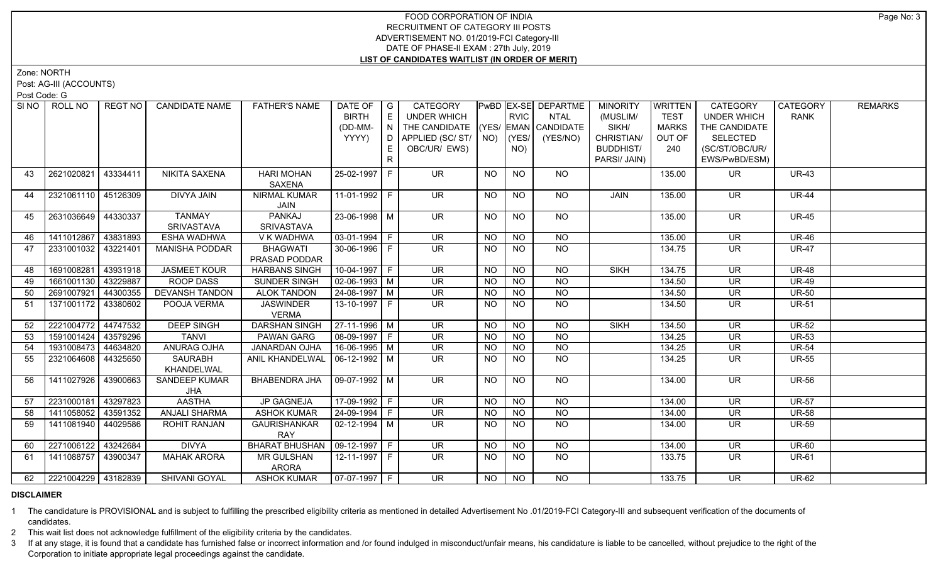Zone: NORTH

Post: AG-III (ACCOUNTS)

Post Code: G

| SI <sub>NO</sub> | ROLL NO             | <b>REGT NO</b> | <b>CANDIDATE NAME</b> | <b>FATHER'S NAME</b>             | DATE OF                | $\overline{\phantom{a}}$ G | CATEGORY                           |                |                | PwBD EX-SE DEPARTME | <b>MINORITY</b>  | WRITTEN      | CATEGORY                 | CATEGORY     | <b>REMARKS</b> |
|------------------|---------------------|----------------|-----------------------|----------------------------------|------------------------|----------------------------|------------------------------------|----------------|----------------|---------------------|------------------|--------------|--------------------------|--------------|----------------|
|                  |                     |                |                       |                                  | <b>BIRTH</b>           | E                          | UNDER WHICH                        |                | <b>RVIC</b>    | NTAL                | (MUSLIM/         | <b>TEST</b>  | <b>UNDER WHICH</b>       | <b>RANK</b>  |                |
|                  |                     |                |                       |                                  | (DD-MM-                | IN I                       | THE CANDIDATE (YES/ EMAN CANDIDATE |                |                |                     | SIKH/            | <b>MARKS</b> | THE CANDIDATE            |              |                |
|                  |                     |                |                       |                                  | YYYY)                  |                            | D APPLIED (SC/ ST/ NO)             |                | (YES/          | (YES/NO)            | CHRISTIAN/       | OUT OF       | <b>SELECTED</b>          |              |                |
|                  |                     |                |                       |                                  |                        | E.                         | OBC/UR/ EWS)                       |                | NO)            |                     | <b>BUDDHIST/</b> | 240          | (SC/ST/OBC/UR/           |              |                |
|                  |                     |                |                       |                                  |                        | R                          |                                    |                |                |                     | PARSI/ JAIN)     |              | EWS/PwBD/ESM)            |              |                |
| 43               | 2621020821          | 43334411       | <b>NIKITA SAXENA</b>  | <b>HARI MOHAN</b>                | 25-02-1997 F           |                            | <b>UR</b>                          | <b>NO</b>      | <b>NO</b>      | <b>NO</b>           |                  | 135.00       | <b>UR</b>                | <b>UR-43</b> |                |
|                  |                     |                |                       | <b>SAXENA</b>                    |                        |                            |                                    |                |                |                     |                  |              |                          |              |                |
| 44               | 2321061110 45126309 |                | DIVYA JAIN            | <b>NIRMAL KUMAR</b>              |                        |                            | <b>UR</b>                          | NO.            | <b>NO</b>      | NO.                 | JAIN             | 135.00       | <b>UR</b>                | <b>UR-44</b> |                |
|                  |                     |                |                       | JAIN                             |                        |                            |                                    |                |                |                     |                  |              |                          |              |                |
| 45               | 2631036649 44330337 |                | <b>TANMAY</b>         | PANKAJ                           | 23-06-1998 M           |                            | UR.                                | <b>NO</b>      | NO.            | NO.                 |                  | 135.00       | <b>UR</b>                | <b>UR-45</b> |                |
|                  |                     |                | <b>SRIVASTAVA</b>     | <b>SRIVASTAVA</b>                |                        |                            |                                    |                |                |                     |                  |              |                          |              |                |
| 46               | 1411012867 43831893 |                | <b>ESHA WADHWA</b>    | V K WADHWA                       | $\boxed{03-01-1994}$ F |                            | $\overline{\mathsf{UR}}$           | N <sub>O</sub> | N <sub>O</sub> | N <sub>O</sub>      |                  | 135.00       | <b>UR</b>                | $UR-46$      |                |
| 47               | 2331001032 43221401 |                | MANISHA PODDAR        | <b>BHAGWATI</b>                  | 30-06-1996 F           |                            | <b>UR</b>                          | <b>NO</b>      | NO.            | <b>NO</b>           |                  | 134.75       | <b>UR</b>                | <b>UR-47</b> |                |
|                  |                     |                |                       | PRASAD PODDAR                    |                        |                            |                                    |                |                |                     |                  |              |                          |              |                |
| 48               | 1691008281 43931918 |                | <b>JASMEET KOUR</b>   | <b>HARBANS SINGH</b>             | $10-04-1997$ F         |                            | $\overline{\mathsf{UR}}$           | NO             | <b>NO</b>      | <b>NO</b>           | <b>SIKH</b>      | 134.75       | $\overline{\mathsf{UR}}$ | <b>UR-48</b> |                |
| 49               | 1661001130          | 43229887       | <b>ROOP DASS</b>      | <b>SUNDER SINGH</b>              | $\sqrt{02-06-1993}$ M  |                            | <b>UR</b>                          | <b>NO</b>      | <b>NO</b>      | <b>NO</b>           |                  | 134.50       | <b>UR</b>                | <b>UR-49</b> |                |
| 50               | 2691007921 44300355 |                | <b>DEVANSH TANDON</b> | <b>ALOK TANDON</b>               | $24 - 08 - 1997$ M     |                            | $\overline{\mathsf{UR}}$           | <b>NO</b>      | $N$ O          | $N$ O               |                  | 134.50       | <b>UR</b>                | <b>UR-50</b> |                |
| 51               | 1371001172 43380602 |                | POOJA VERMA           | <b>JASWINDER</b>                 | 13-10-1997 F           |                            | <b>UR</b>                          | <b>NO</b>      | <b>NO</b>      | <b>NO</b>           |                  | 134.50       | <b>UR</b>                | <b>UR-51</b> |                |
|                  |                     |                |                       | <b>VERMA</b>                     |                        |                            |                                    |                |                |                     |                  |              |                          |              |                |
| 52               | 2221004772 44747532 |                | <b>DEEP SINGH</b>     | <b>DARSHAN SINGH</b>             | $27-11-1996$ M         |                            | <b>UR</b>                          | NO             | $N$ O          | N <sub>O</sub>      | <b>SIKH</b>      | 134.50       | $\overline{\mathsf{UR}}$ | <b>UR-52</b> |                |
| 53               | 1591001424 43579296 |                | <b>TANVI</b>          | <b>PAWAN GARG</b>                | $ 08-09-1997 F$        |                            | UR                                 | <b>NO</b>      | <b>NO</b>      | <b>NO</b>           |                  | 134.25       | $\overline{\mathsf{UR}}$ | <b>UR-53</b> |                |
| 54               | 1931008473 44634820 |                | <b>ANURAG OJHA</b>    | <b>JANARDAN OJHA</b>             | 16-06-1995 M           |                            | <b>UR</b>                          | <b>NO</b>      | <b>NO</b>      | <b>NO</b>           |                  | 134.25       | <b>UR</b>                | <b>UR-54</b> |                |
| 55               | 2321064608 44325650 |                | <b>SAURABH</b>        | ANIL KHANDELWAL   06-12-1992   M |                        |                            | $\overline{\mathsf{UR}}$           | <b>NO</b>      | <b>NO</b>      | N <sub>O</sub>      |                  | 134.25       | $\overline{\mathsf{UR}}$ | <b>UR-55</b> |                |
|                  |                     |                | KHANDELWAL            |                                  |                        |                            |                                    |                |                |                     |                  |              |                          |              |                |
| 56               | 1411027926          | 43900663       | SANDEEP KUMAR         | <b>BHABENDRA JHA</b>             | 09-07-1992   M         |                            | <b>UR</b>                          | <b>NO</b>      | <b>NO</b>      | NO                  |                  | 134.00       | UR.                      | <b>UR-56</b> |                |
|                  |                     |                | <b>JHA</b>            |                                  |                        |                            |                                    |                |                |                     |                  |              |                          |              |                |
| 57               | 2231000181 43297823 |                | <b>AASTHA</b>         | <b>JP GAGNEJA</b>                | 17-09-1992 F           |                            | $\overline{\mathsf{UR}}$           | <b>NO</b>      | <b>NO</b>      | <b>NO</b>           |                  | 134.00       | <b>UR</b>                | <b>UR-57</b> |                |
| 58               | 1411058052 43591352 |                | <b>ANJALI SHARMA</b>  | <b>ASHOK KUMAR</b>               | 24-09-1994 F           |                            | <b>UR</b>                          | <b>NO</b>      | <b>NO</b>      | <b>NO</b>           |                  | 134.00       | $\overline{\mathsf{UR}}$ | <b>UR-58</b> |                |
| 59               | 1411081940 44029586 |                | <b>ROHIT RANJAN</b>   | <b>GAURISHANKAR</b>              | 02-12-1994   M         |                            | $\overline{\mathsf{UR}}$           | <b>NO</b>      | <b>NO</b>      | NO                  |                  | 134.00       | <b>UR</b>                | <b>UR-59</b> |                |
|                  |                     |                |                       | RAY                              |                        |                            |                                    |                |                |                     |                  |              |                          |              |                |
| 60               | 2271006122 43242684 |                | <b>DIVYA</b>          | BHARAT BHUSHAN   09-12-1997   F  |                        |                            | UR                                 | <b>NO</b>      | <b>NO</b>      | <b>NO</b>           |                  | 134.00       | <b>UR</b>                | <b>UR-60</b> |                |
| 61               | 1411088757 43900347 |                | <b>MAHAK ARORA</b>    | <b>MR GULSHAN</b>                | 12-11-1997   F         |                            | UR.                                | NO.            | NO.            | NO                  |                  | 133.75       | UR.                      | <b>UR-61</b> |                |
|                  |                     |                |                       | <b>ARORA</b>                     |                        |                            |                                    |                |                |                     |                  |              |                          |              |                |
| 62               | 2221004229 43182839 |                | SHIVANI GOYAL         | <b>ASHOK KUMAR</b>               | $\sqrt{07-07-1997}$ F  |                            | $\overline{\mathsf{UR}}$           | NO.            | NO             | NO.                 |                  | 133.75       | <b>UR</b>                | <b>UR-62</b> |                |

## **DISCLAIMER**

1 The candidature is PROVISIONAL and is subject to fulfilling the prescribed eligibility criteria as mentioned in detailed Advertisement No .01/2019-FCI Category-III and subsequent verification of the documents of candidates.

2 This wait list does not acknowledge fulfillment of the eligibility criteria by the candidates.

3 If at any stage, it is found that a candidate has furnished false or incorrect information and /or found indulged in misconduct/unfair means, his candidature is liable to be cancelled, without prejudice to the right of t Corporation to initiate appropriate legal proceedings against the candidate.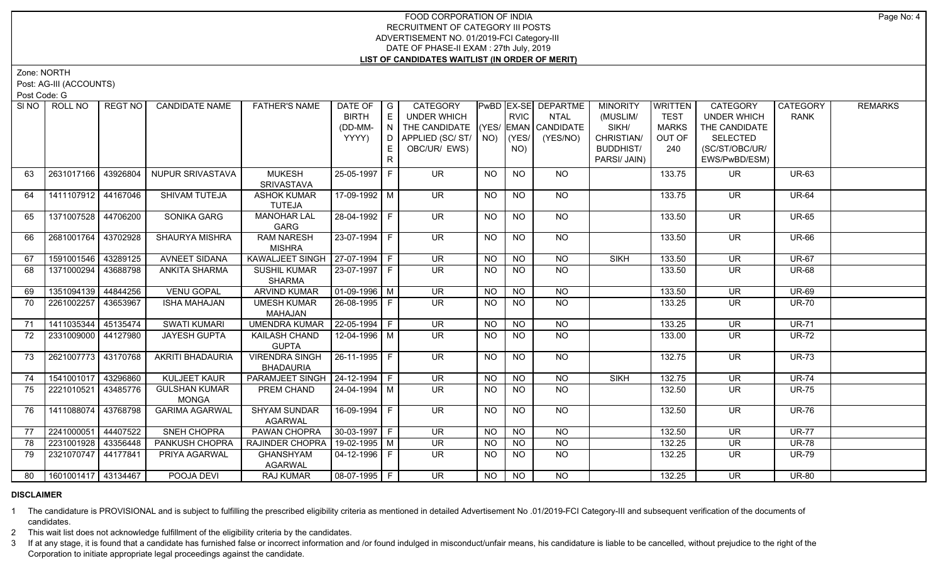Zone: NORTH

Post: AG-III (ACCOUNTS)

Post Code: G

| SI NO | ROLL NO                    | REGT NO   | <b>CANDIDATE NAME</b>   | <b>FATHER'S NAME</b>             | DATE OF                | $\overline{\phantom{a}}$ G | CATEGORY                           |                |                | PwBD EX-SE DEPARTME | <b>MINORITY</b>  | <b>WRITTEN</b> | CATEGORY                 | <b>CATEGORY</b> | <b>REMARKS</b> |
|-------|----------------------------|-----------|-------------------------|----------------------------------|------------------------|----------------------------|------------------------------------|----------------|----------------|---------------------|------------------|----------------|--------------------------|-----------------|----------------|
|       |                            |           |                         |                                  | <b>BIRTH</b>           | E                          | <b>UNDER WHICH</b>                 |                | <b>RVIC</b>    | <b>NTAL</b>         | (MUSLIM/         | <b>TEST</b>    | <b>UNDER WHICH</b>       | <b>RANK</b>     |                |
|       |                            |           |                         |                                  | (DD-MM-                | N                          | THE CANDIDATE (YES/ EMAN CANDIDATE |                |                |                     | SIKH/            | <b>MARKS</b>   | THE CANDIDATE            |                 |                |
|       |                            |           |                         |                                  | YYYY)                  | D                          | APPLIED (SC/ST/                    |                | $NO)$ (YES/    | (YES/NO)            | CHRISTIAN/       | OUT OF         | <b>SELECTED</b>          |                 |                |
|       |                            |           |                         |                                  |                        | E                          | OBC/UR/ EWS)                       |                | NO)            |                     | <b>BUDDHIST/</b> | 240            | (SC/ST/OBC/UR/           |                 |                |
|       |                            |           |                         |                                  |                        | R.                         |                                    |                |                |                     | PARSI/ JAIN)     |                | EWS/PwBD/ESM)            |                 |                |
| 63    | 2631017166 43926804        |           | <b>NUPUR SRIVASTAVA</b> | <b>MUKESH</b>                    | 25-05-1997 F           |                            | <b>UR</b>                          | NO             | <b>NO</b>      | <b>NO</b>           |                  | 133.75         | UR.                      | <b>UR-63</b>    |                |
|       |                            |           |                         | <b>SRIVASTAVA</b>                |                        |                            |                                    |                |                |                     |                  |                |                          |                 |                |
| 64    | 1411107912 44167046        |           | SHIVAM TUTEJA           | <b>ASHOK KUMAR</b>               | 17-09-1992 M           |                            | <b>UR</b>                          | <b>NO</b>      | <b>NO</b>      | NO                  |                  | 133.75         | <b>UR</b>                | <b>UR-64</b>    |                |
|       |                            |           |                         | TUTEJA                           |                        |                            |                                    |                |                |                     |                  |                |                          |                 |                |
| 65    | 1371007528 44706200        |           | SONIKA GARG             | <b>MANOHAR LAL</b>               | 28-04-1992 F           |                            | <b>UR</b>                          | NO.            | NO.            | NO                  |                  | 133.50         | UR                       | <b>UR-65</b>    |                |
|       |                            |           |                         | GARG                             |                        |                            |                                    |                |                |                     |                  |                |                          |                 |                |
| 66    | 2681001764 43702928        |           | <b>SHAURYA MISHRA</b>   | <b>RAM NARESH</b>                | $23-07-1994$ F         |                            | $\overline{\mathsf{UR}}$           | <b>NO</b>      | N <sub>O</sub> | N <sub>O</sub>      |                  | 133.50         | $\overline{\mathsf{UR}}$ | <b>UR-66</b>    |                |
|       |                            |           |                         | <b>MISHRA</b>                    |                        |                            |                                    |                |                |                     |                  |                |                          |                 |                |
| 67    | 1591001546 43289125        |           | <b>AVNEET SIDANA</b>    | KAWALJEET SINGH   27-07-1994   F |                        |                            | UR                                 | <b>NO</b>      | <b>NO</b>      | $N$ O               | <b>SIKH</b>      | 133.50         | $\overline{\mathsf{UR}}$ | <b>UR-67</b>    |                |
| 68    | 1371000294                 | 43688798  | <b>ANKITA SHARMA</b>    | <b>SUSHIL KUMAR</b>              | 23-07-1997 F           |                            | $\overline{\mathsf{UR}}$           | N <sub>O</sub> | $N$ O          | N <sub>O</sub>      |                  | 133.50         | <b>UR</b>                | <b>UR-68</b>    |                |
|       |                            |           |                         | <b>SHARMA</b>                    |                        |                            |                                    |                |                |                     |                  |                |                          |                 |                |
| 69    | 1351094139                 | 44844256  | <b>VENU GOPAL</b>       | <b>ARVIND KUMAR</b>              | $\boxed{01-09-1996}$ M |                            | <b>UR</b>                          | <b>NO</b>      | NO             | $N$ O               |                  | 133.50         | $\overline{\mathsf{UR}}$ | <b>UR-69</b>    |                |
| 70    | 2261002257                 | 43653967  | <b>ISHA MAHAJAN</b>     | <b>UMESH KUMAR</b>               | 26-08-1995 F           |                            | UR.                                | <b>NO</b>      | <b>NO</b>      | <b>NO</b>           |                  | 133.25         | UR.                      | <b>UR-70</b>    |                |
|       |                            |           |                         | MAHAJAN                          |                        |                            |                                    |                |                |                     |                  |                |                          |                 |                |
| 71    | 1411035344                 | 145135474 | <b>SWATI KUMARI</b>     | <b>UMENDRA KUMAR</b>             | $22-05-1994$ F         |                            | <b>UR</b>                          | <b>NO</b>      | <b>NO</b>      | $\overline{NQ}$     |                  | 133.25         | <b>UR</b>                | <b>UR-71</b>    |                |
| 72    | 2331009000                 | 44127980  | <b>JAYESH GUPTA</b>     | KAILASH CHAND                    | 12-04-1996 M           |                            | <b>UR</b>                          | NO.            | <b>NO</b>      | <b>NO</b>           |                  | 133.00         | <b>UR</b>                | <b>UR-72</b>    |                |
|       |                            |           |                         | <b>GUPTA</b>                     |                        |                            |                                    |                |                |                     |                  |                |                          |                 |                |
| 73    | 2621007773 43170768        |           | AKRITI BHADAURIA        | <b>VIRENDRA SINGH</b>            | 26-11-1995 F           |                            | $\overline{\mathsf{UR}}$           | <b>NO</b>      | N <sub>O</sub> | $N$ <sup>O</sup>    |                  | 132.75         | <b>UR</b>                | <b>UR-73</b>    |                |
|       |                            |           |                         | <b>BHADAURIA</b>                 |                        |                            |                                    |                |                |                     |                  |                |                          |                 |                |
| 74    | 1541001017                 | 43296860  | <b>KULJEET KAUR</b>     | PARAMJEET SINGH   24-12-1994   F |                        |                            | $\overline{\mathsf{UR}}$           | <b>NO</b>      | N <sub>O</sub> | N <sub>O</sub>      | <b>SIKH</b>      | 132.75         | <b>UR</b>                | <b>UR-74</b>    |                |
| 75    | 2221010521                 | 43485776  | <b>GULSHAN KUMAR</b>    | PREM CHAND                       | 24-04-1994   M         |                            | UR.                                | <b>NO</b>      | <b>NO</b>      | NO.                 |                  | 132.50         | <b>UR</b>                | <b>UR-75</b>    |                |
|       |                            |           | <b>MONGA</b>            |                                  |                        |                            |                                    |                |                |                     |                  |                |                          |                 |                |
| 76    | 1411088074                 | 43768798  | <b>GARIMA AGARWAL</b>   | <b>SHYAM SUNDAR</b>              | 16-09-1994 F           |                            | $\overline{\mathsf{UR}}$           | <b>NO</b>      | N <sub>O</sub> | $N$ O               |                  | 132.50         | $\overline{\mathsf{UR}}$ | <b>UR-76</b>    |                |
|       |                            |           |                         | <b>AGARWAL</b>                   |                        |                            |                                    |                |                |                     |                  |                |                          |                 |                |
| 77    | 2241000051                 | 44407522  | SNEH CHOPRA             | PAWAN CHOPRA                     | 30-03-1997 F           |                            | UR.                                | <b>NO</b>      | <b>NO</b>      | <b>NO</b>           |                  | 132.50         | <b>UR</b>                | <b>UR-77</b>    |                |
| 78    | 2231001928 43356448        |           | PANKUSH CHOPRA          | RAJINDER CHOPRA                  | 19-02-1995 M           |                            | $\overline{\mathsf{UR}}$           | <b>NO</b>      | <b>NO</b>      | N <sub>O</sub>      |                  | 132.25         | <b>UR</b>                | <b>UR-78</b>    |                |
| 79    | 2321070747 44177841        |           | PRIYA AGARWAL           | <b>GHANSHYAM</b>                 | 04-12-1996 F           |                            | <b>UR</b>                          | NO.            | NO             | $N$ O               |                  | 132.25         | UR                       | <b>UR-79</b>    |                |
|       |                            |           |                         | <b>AGARWAL</b>                   |                        |                            |                                    |                |                |                     |                  |                |                          |                 |                |
|       | 80   1601001417   43134467 |           | POOJA DEVI              | <b>RAJ KUMAR</b>                 | $08-07-1995$ F         |                            | $\overline{\mathsf{UR}}$           | <b>NO</b>      | <b>NO</b>      | $\overline{NO}$     |                  | 132.25         | <b>UR</b>                | <b>UR-80</b>    |                |

## **DISCLAIMER**

1 The candidature is PROVISIONAL and is subject to fulfilling the prescribed eligibility criteria as mentioned in detailed Advertisement No .01/2019-FCI Category-III and subsequent verification of the documents of candidates.

2 This wait list does not acknowledge fulfillment of the eligibility criteria by the candidates.

3 If at any stage, it is found that a candidate has furnished false or incorrect information and /or found indulged in misconduct/unfair means, his candidature is liable to be cancelled, without prejudice to the right of t Corporation to initiate appropriate legal proceedings against the candidate.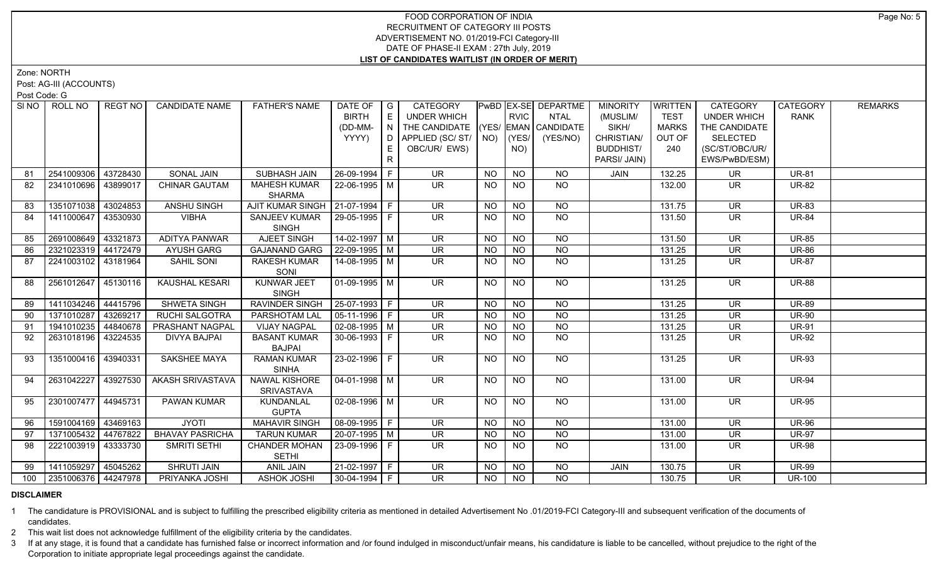Zone: NORTH

Post: AG-III (ACCOUNTS)

Post Code: G

| SINO | ROLL NO             | REGT NO  | <b>CANDIDATE NAME</b>  | <b>FATHER'S NAME</b>                 | DATE OF<br><b>BIRTH</b><br>(DD-MM-<br>YYYY) | $\overline{\phantom{a}}$ $\overline{\phantom{a}}$<br>E<br>$\mathbf{1} \ \mathbf{N}$ )<br>D | CATEGORY<br><b>UNDER WHICH</b><br>THE CANDIDATE (YES/ EMAN CANDIDATE<br>APPLIED (SC/ ST/   NO) |                 | <b>RVIC</b><br>$ $ (YES/ $ $ | PwBD EX-SE DEPARTME<br><b>NTAL</b><br>(YES/NO) | <b>MINORITY</b><br>(MUSLIM/<br>SIKH/<br>CHRISTIAN/ | <b>WRITTEN</b><br><b>TEST</b><br><b>MARKS</b><br>OUT OF | <b>CATEGORY</b><br><b>UNDER WHICH</b><br>THE CANDIDATE<br><b>SELECTED</b> | CATEGORY<br><b>RANK</b> | <b>REMARKS</b> |
|------|---------------------|----------|------------------------|--------------------------------------|---------------------------------------------|--------------------------------------------------------------------------------------------|------------------------------------------------------------------------------------------------|-----------------|------------------------------|------------------------------------------------|----------------------------------------------------|---------------------------------------------------------|---------------------------------------------------------------------------|-------------------------|----------------|
|      |                     |          |                        |                                      |                                             | E.<br>R                                                                                    | OBC/UR/ EWS)                                                                                   |                 | NO)                          |                                                | <b>BUDDHIST/</b><br>PARSI/ JAIN)                   | 240                                                     | (SC/ST/OBC/UR/<br>EWS/PwBD/ESM)                                           |                         |                |
| 81   | 2541009306          | 43728430 | SONAL JAIN             | SUBHASH JAIN                         | 26-09-1994 F                                |                                                                                            | <b>UR</b>                                                                                      | <b>NO</b>       | <b>NO</b>                    | <b>NO</b>                                      | <b>JAIN</b>                                        | 132.25                                                  | <b>UR</b>                                                                 | <b>UR-81</b>            |                |
| 82   | 2341010696          | 43899017 | <b>CHINAR GAUTAM</b>   | <b>MAHESH KUMAR</b><br><b>SHARMA</b> | 22-06-1995   M                              |                                                                                            | UR                                                                                             | <b>NO</b>       | NO.                          | NO.                                            |                                                    | 132.00                                                  | UR                                                                        | <b>UR-82</b>            |                |
| 83   | 1351071038          | 43024853 | <b>ANSHU SINGH</b>     | AJIT KUMAR SINGH   21-07-1994   F    |                                             |                                                                                            | <b>UR</b>                                                                                      | <b>NO</b>       | <b>NO</b>                    | NO                                             |                                                    | 131.75                                                  | <b>UR</b>                                                                 | <b>UR-83</b>            |                |
| 84   | 1411000647          | 43530930 | <b>VIBHA</b>           | SANJEEV KUMAR<br><b>SINGH</b>        | $ 29-05-1995 F$                             |                                                                                            | <b>UR</b>                                                                                      | <b>NO</b>       | <b>NO</b>                    | <b>NO</b>                                      |                                                    | 131.50                                                  | <b>UR</b>                                                                 | <b>UR-84</b>            |                |
| 85   | 2691008649          | 43321873 | <b>ADITYA PANWAR</b>   | <b>AJEET SINGH</b>                   | $14-02-1997$ M                              |                                                                                            | $\overline{\mathsf{UR}}$                                                                       | $\overline{NO}$ | $\overline{NO}$              | $\overline{NO}$                                |                                                    | 131.50                                                  | $\overline{\mathsf{UR}}$                                                  | <b>UR-85</b>            |                |
| 86   | 2321023319 44172479 |          | <b>AYUSH GARG</b>      | <b>GAJANAND GARG</b>                 | $22-09-1995$ M                              |                                                                                            | <b>UR</b>                                                                                      | <b>NO</b>       | N <sub>O</sub>               | <b>NO</b>                                      |                                                    | 131.25                                                  | <b>UR</b>                                                                 | <b>UR-86</b>            |                |
| 87   | 2241003102 43181964 |          | SAHIL SONI             | <b>RAKESH KUMAR</b><br>SONI          | 14-08-1995   M                              |                                                                                            | <b>UR</b>                                                                                      | <b>NO</b>       | <b>NO</b>                    | <b>NO</b>                                      |                                                    | 131.25                                                  | <b>UR</b>                                                                 | <b>UR-87</b>            |                |
| 88   | 2561012647          | 45130116 | <b>KAUSHAL KESARI</b>  | KUNWAR JEET<br><b>SINGH</b>          | 01-09-1995   M                              |                                                                                            | <b>UR</b>                                                                                      | <b>NO</b>       | N <sub>O</sub>               | <b>NO</b>                                      |                                                    | 131.25                                                  | <b>UR</b>                                                                 | <b>UR-88</b>            |                |
| 89   | 1411034246          | 44415796 | <b>SHWETA SINGH</b>    | <b>RAVINDER SINGH</b>                | $ 25-07-1993 F$                             |                                                                                            | $\overline{\mathsf{UR}}$                                                                       | <b>NO</b>       | $N$ O                        | $N$ <sup>O</sup>                               |                                                    | 131.25                                                  | <b>UR</b>                                                                 | <b>UR-89</b>            |                |
| 90   | 1371010287          | 43269217 | <b>RUCHI SALGOTRA</b>  | <b>PARSHOTAM LAL</b>                 | $ 05-11-1996 F$                             |                                                                                            | <b>UR</b>                                                                                      | $N$ O           | $N$ O                        | $N$ <sup>O</sup>                               |                                                    | 131.25                                                  | <b>UR</b>                                                                 | <b>UR-90</b>            |                |
| 91   | 1941010235 44840678 |          | PRASHANT NAGPAL        | <b>VIJAY NAGPAL</b>                  | $\boxed{02 - 08 - 1995}$ M                  |                                                                                            | UR                                                                                             | <b>NO</b>       | $N$ O                        | $N$ O                                          |                                                    | 131.25                                                  | <b>UR</b>                                                                 | <b>UR-91</b>            |                |
| 92   | 2631018196          | 43224535 | <b>DIVYA BAJPAI</b>    | <b>BASANT KUMAR</b><br><b>BAJPAI</b> | $30 - 06 - 1993$ F                          |                                                                                            | UR.                                                                                            | <b>NO</b>       | NO.                          | <b>NO</b>                                      |                                                    | 131.25                                                  | <b>UR</b>                                                                 | <b>UR-92</b>            |                |
| 93   | 1351000416          | 43940331 | SAKSHEE MAYA           | <b>RAMAN KUMAR</b><br><b>SINHA</b>   | 23-02-1996 F                                |                                                                                            | <b>UR</b>                                                                                      | <b>NO</b>       | <b>NO</b>                    | <b>NO</b>                                      |                                                    | 131.25                                                  | <b>UR</b>                                                                 | <b>UR-93</b>            |                |
| 94   | 2631042227          | 43927530 | AKASH SRIVASTAVA       | NAWAL KISHORE<br><b>SRIVASTAVA</b>   | $04 - 01 - 1998$ M                          |                                                                                            | <b>UR</b>                                                                                      | <b>NO</b>       | <b>NO</b>                    | <b>NO</b>                                      |                                                    | 131.00                                                  | <b>UR</b>                                                                 | <b>UR-94</b>            |                |
| 95   | 2301007477 44945731 |          | PAWAN KUMAR            | KUNDANLAL<br><b>GUPTA</b>            | 02-08-1996 M                                |                                                                                            | $\overline{\mathsf{UR}}$                                                                       | <b>NO</b>       | NO.                          | NO                                             |                                                    | 131.00                                                  | <b>UR</b>                                                                 | <b>UR-95</b>            |                |
| 96   | 1591004169 43469163 |          | <b>JYOTI</b>           | <b>MAHAVIR SINGH</b>                 | 08-09-1995 F                                |                                                                                            | $\overline{\mathsf{UR}}$                                                                       | N <sub>O</sub>  | N <sub>O</sub>               | $\overline{NO}$                                |                                                    | 131.00                                                  | $\overline{\mathsf{UR}}$                                                  | <b>UR-96</b>            |                |
| 97   | 1371005432 44767822 |          | <b>BHAVAY PASRICHA</b> | <b>TARUN KUMAR</b>                   | 20-07-1995 M                                |                                                                                            | <b>UR</b>                                                                                      | <b>NO</b>       | <b>NO</b>                    | <b>NO</b>                                      |                                                    | 131.00                                                  | <b>UR</b>                                                                 | <b>UR-97</b>            |                |
| 98   | 2221003919          | 43333730 | SMRITI SETHI           | <b>CHANDER MOHAN</b><br><b>SETHI</b> | 23-09-1996 F                                |                                                                                            | <b>UR</b>                                                                                      | <b>NO</b>       | <b>NO</b>                    | NO                                             |                                                    | 131.00                                                  | <b>UR</b>                                                                 | <b>UR-98</b>            |                |
| 99   | 1411059297          | 45045262 | <b>SHRUTI JAIN</b>     | <b>ANIL JAIN</b>                     | 21-02-1997 F                                |                                                                                            | <b>UR</b>                                                                                      | <b>NO</b>       | <b>NO</b>                    | NO.                                            | JAIN                                               | 130.75                                                  | <b>UR</b>                                                                 | <b>UR-99</b>            |                |
| 100  | 2351006376 44247978 |          | PRIYANKA JOSHI         | <b>ASHOK JOSHI</b>                   | $30-04-1994$ F                              |                                                                                            | UR.                                                                                            | <b>NO</b>       | <b>NO</b>                    | <b>NO</b>                                      |                                                    | 130.75                                                  | <b>UR</b>                                                                 | <b>UR-100</b>           |                |

## **DISCLAIMER**

1 The candidature is PROVISIONAL and is subject to fulfilling the prescribed eligibility criteria as mentioned in detailed Advertisement No .01/2019-FCI Category-III and subsequent verification of the documents of candidates.

2 This wait list does not acknowledge fulfillment of the eligibility criteria by the candidates.

3 If at any stage, it is found that a candidate has furnished false or incorrect information and /or found indulged in misconduct/unfair means, his candidature is liable to be cancelled, without prejudice to the right of t Corporation to initiate appropriate legal proceedings against the candidate.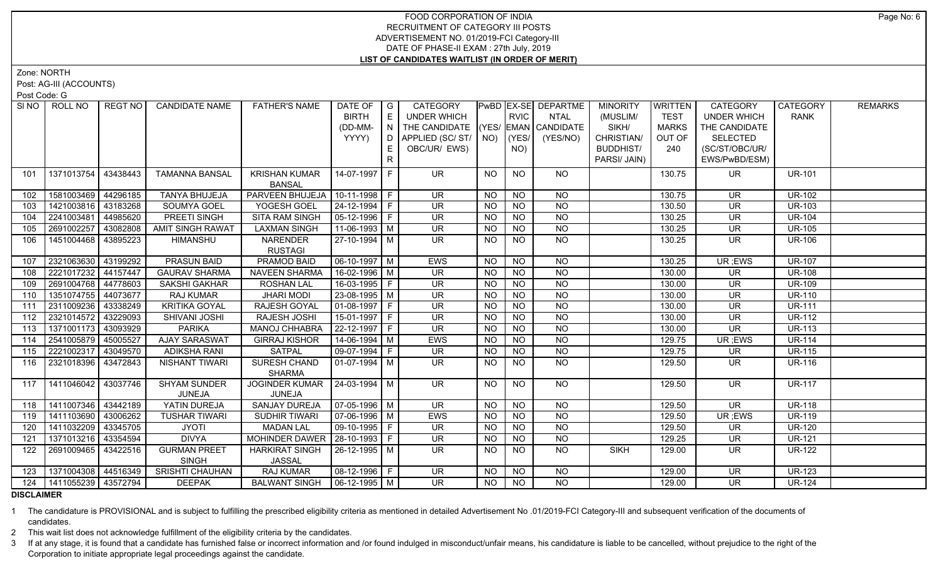Zone: NORTH

Post: AG-III (ACCOUNTS)

Post Code: G

| SI NO I | ROLL NO                     | REGT NO I | <b>CANDIDATE NAME</b>               | <b>FATHER'S NAME</b>            | DATE OF            | $\overline{\phantom{a}}$ $\overline{\phantom{a}}$ | <b>CATEGORY</b>                |           |                 | PwBD EX-SE DEPARTME | <b>MINORITY</b>  | <b>WRITTEN</b> | <b>CATEGORY</b>          | <b>CATEGORY</b> | <b>REMARKS</b> |
|---------|-----------------------------|-----------|-------------------------------------|---------------------------------|--------------------|---------------------------------------------------|--------------------------------|-----------|-----------------|---------------------|------------------|----------------|--------------------------|-----------------|----------------|
|         |                             |           |                                     |                                 | <b>BIRTH</b>       | E                                                 | <b>UNDER WHICH</b>             |           | <b>RVIC</b>     | <b>NTAL</b>         | (MUSLIM/         | TEST           | <b>UNDER WHICH</b>       | <b>RANK</b>     |                |
|         |                             |           |                                     |                                 | (DD-MM-            | N                                                 | THE CANDIDATE (YES/            |           |                 | EMAN CANDIDATE      | SIKH/            | <b>MARKS</b>   | THE CANDIDATE            |                 |                |
|         |                             |           |                                     |                                 | YYYY)              | D                                                 | APPLIED (SC/ ST/   NO)   (YES/ |           |                 | (YES/NO)            | CHRISTIAN/       | OUT OF         | <b>SELECTED</b>          |                 |                |
|         |                             |           |                                     |                                 |                    | E.                                                | OBC/UR/ EWS)                   |           | NO)             |                     | <b>BUDDHIST/</b> | 240            | (SC/ST/OBC/UR/           |                 |                |
|         |                             |           |                                     |                                 |                    | $\mathsf{R}$                                      |                                |           |                 |                     | PARSI/ JAIN)     |                | EWS/PwBD/ESM)            |                 |                |
| 101     | 1371013754                  | 43438443  | <b>TAMANNA BANSAL</b>               | <b>KRISHAN KUMAR</b>            | 14-07-1997 F       |                                                   | UR.                            | NO        | <b>NO</b>       | <b>NO</b>           |                  | 130.75         | UR.                      | <b>UR-101</b>   |                |
|         |                             |           |                                     | <b>BANSAL</b>                   |                    |                                                   |                                |           |                 |                     |                  |                |                          |                 |                |
| 102     | 1581003469                  | 44296185  | <b>TANYA BHUJEJA</b>                | PARVEEN BHUJEJA                 | $10-11-1998$ F     |                                                   | <b>UR</b>                      | <b>NO</b> | <b>NO</b>       | <b>NO</b>           |                  | 130.75         | <b>UR</b>                | <b>UR-102</b>   |                |
| 103     | 1421003816                  | 43183268  | SOUMYA GOEL                         | YOGESH GOEL                     | 24-12-1994 F       |                                                   | <b>UR</b>                      | <b>NO</b> | <b>NO</b>       | <b>NO</b>           |                  | 130.50         | <b>UR</b>                | <b>UR-103</b>   |                |
| 104     | 2241003481                  | 44985620  | PREETI SINGH                        | <b>SITA RAM SINGH</b>           | 05-12-1996 F       |                                                   | <b>UR</b>                      | <b>NO</b> | <b>NO</b>       | <b>NO</b>           |                  | 130.25         | <b>UR</b>                | <b>UR-104</b>   |                |
| 105     | 2691002257                  | 43082808  | <b>AMIT SINGH RAWAT</b>             | <b>LAXMAN SINGH</b>             | $11-06-1993$ M     |                                                   | <b>UR</b>                      | <b>NO</b> | <b>NO</b>       | <b>NO</b>           |                  | 130.25         | <b>UR</b>                | <b>UR-105</b>   |                |
| 106     | 1451004468 43895223         |           | <b>HIMANSHU</b>                     | <b>NARENDER</b>                 | 27-10-1994 M       |                                                   | UR.                            | NO.       | NO.             | <b>NO</b>           |                  | 130.25         | <b>UR</b>                | <b>UR-106</b>   |                |
|         |                             |           |                                     | <b>RUSTAGI</b>                  |                    |                                                   |                                |           |                 |                     |                  |                |                          |                 |                |
| 107     | 2321063630                  | 43199292  | <b>PRASUN BAID</b>                  | <b>PRAMOD BAID</b>              | $06-10-1997$ M     |                                                   | EWS                            | <b>NO</b> | N <sub>O</sub>  | $\overline{NQ}$     |                  | 130.25         | UR; EWS                  | <b>UR-107</b>   |                |
| 108     | 2221017232                  | 44157447  | <b>GAURAV SHARMA</b>                | <b>NAVEEN SHARMA</b>            | $16 - 02 - 1996$ M |                                                   | $\overline{\mathsf{UR}}$       | <b>NO</b> | $\overline{NQ}$ | $\overline{NO}$     |                  | 130.00         | $\overline{\mathsf{UR}}$ | <b>UR-108</b>   |                |
| 109     | 2691004768                  | 44778603  | SAKSHI GAKHAR                       | <b>ROSHAN LAL</b>               | 16-03-1995   F     |                                                   | <b>UR</b>                      | <b>NO</b> | <b>NO</b>       | $\overline{NQ}$     |                  | 130.00         | <b>UR</b>                | <b>UR-109</b>   |                |
| 110     | 1351074755 44073677         |           | RAJ KUMAR                           | <b>JHARI MODI</b>               | 23-08-1995   M     |                                                   | <b>UR</b>                      | <b>NO</b> | <b>NO</b>       | $\overline{NO}$     |                  | 130.00         | <b>UR</b>                | <b>UR-110</b>   |                |
| 111     | 2311009236                  | 43338249  | <b>KRITIKA GOYAL</b>                | RAJESH GOYAL                    | $01-08-1997$ F     |                                                   | <b>UR</b>                      | <b>NO</b> | $\overline{NO}$ | N <sub>O</sub>      |                  | 130.00         | <b>UR</b>                | <b>UR-111</b>   |                |
| 112     | 2321014572 43229093         |           | SHIVANI JOSHI                       | RAJESH JOSHI                    | 15-01-1997 F       |                                                   | <b>UR</b>                      | <b>NO</b> | <b>NO</b>       | $\overline{NQ}$     |                  | 130.00         | <b>UR</b>                | <b>UR-112</b>   |                |
| 113     | 1371001173 43093929         |           | <b>PARIKA</b>                       | <b>MANOJ CHHABRA</b>            | 22-12-1997 F       |                                                   | <b>UR</b>                      | <b>NO</b> | $\overline{NO}$ | $\overline{NO}$     |                  | 130.00         | <b>UR</b>                | <b>UR-113</b>   |                |
| 114     | 2541005879                  | 45005527  | <b>AJAY SARASWAT</b>                | <b>GIRRAJ KISHOR</b>            | $14-06-1994$ M     |                                                   | EWS                            | <b>NO</b> | $\overline{N}$  | $\overline{NO}$     |                  | 129.75         | UR; EWS                  | <b>UR-114</b>   |                |
| 115     | 2221002317                  | 43049570  | <b>ADIKSHA RANI</b>                 | <b>SATPAL</b>                   | 09-07-1994   F     |                                                   | UR                             | <b>NO</b> | <b>NO</b>       | $\overline{NQ}$     |                  | 129.75         | <b>UR</b>                | <b>UR-115</b>   |                |
| 116     | 2321018396                  | 43472843  | NISHANT TIWARI                      | SURESH CHAND                    | $01-07-1994$ M     |                                                   | UR.                            | NO.       | <b>NO</b>       | <b>NO</b>           |                  | 129.50         | UR.                      | <b>UR-116</b>   |                |
|         |                             |           |                                     | <b>SHARMA</b>                   |                    |                                                   |                                |           |                 |                     |                  |                |                          |                 |                |
| 117     | 1411046042   43037746       |           | <b>SHYAM SUNDER</b>                 | <b>JOGINDER KUMAR</b>           | 24-03-1994 M       |                                                   | <b>UR</b>                      | <b>NO</b> | <b>NO</b>       | NO                  |                  | 129.50         | <b>UR</b>                | <b>UR-117</b>   |                |
|         |                             |           | JUNEJA                              | JUNEJA                          |                    |                                                   |                                |           |                 |                     |                  |                |                          |                 |                |
| 118     | 1411007346 43442189         |           | YATIN DUREJA                        | <b>SANJAY DUREJA</b>            | $07-05-1996$ M     |                                                   | $\overline{\mathsf{UR}}$       | <b>NO</b> | <b>NO</b>       | N <sub>O</sub>      |                  | 129.50         | $\overline{\mathsf{UR}}$ | <b>UR-118</b>   |                |
| 119     | 1411103690                  | 43006262  | <b>TUSHAR TIWARI</b>                | <b>SUDHIR TIWARI</b>            | 07-06-1996 M       |                                                   | EWS                            | <b>NO</b> | $N$ O           | $N$ O               |                  | 129.50         | UR; EWS                  | <b>UR-119</b>   |                |
| 120     | 1411032209                  | 43345705  | <b>JYOTI</b>                        | <b>MADAN LAL</b>                | 09-10-1995   F     |                                                   | <b>UR</b>                      | <b>NO</b> | $N$ O           | $N$ O               |                  | 129.50         | <b>UR</b>                | <b>UR-120</b>   |                |
| 121     | 1371013216                  | 43354594  | <b>DIVYA</b>                        | MOHINDER DAWER   28-10-1993   F |                    |                                                   | UR                             | <b>NO</b> | <b>NO</b>       | <b>NO</b>           |                  | 129.25         | <b>UR</b>                | <b>UR-121</b>   |                |
| 122     | 2691009465                  | 43422516  | <b>GURMAN PREET</b><br><b>SINGH</b> | <b>HARKIRAT SINGH</b><br>JASSAL | $26-12-1995$ M     |                                                   | UR.                            | NO.       | N <sub>O</sub>  | <b>NO</b>           | <b>SIKH</b>      | 129.00         | <b>UR</b>                | <b>UR-122</b>   |                |
| 123     | 1371004308 44516349         |           | <b>SRISHTI CHAUHAN</b>              | <b>RAJ KUMAR</b>                | 08-12-1996 F       |                                                   | <b>UR</b>                      | <b>NO</b> | <b>NO</b>       | <b>NO</b>           |                  | 129.00         | <b>UR</b>                | <b>UR-123</b>   |                |
|         | 124   1411055239   43572794 |           | <b>DEEPAK</b>                       | BALWANT SINGH   06-12-1995   M  |                    |                                                   | UR.                            | NO        | <b>NO</b>       | <b>NO</b>           |                  | 129.00         | UR.                      | <b>UR-124</b>   |                |

**DISCLAIMER**

1 The candidature is PROVISIONAL and is subject to fulfilling the prescribed eligibility criteria as mentioned in detailed Advertisement No .01/2019-FCI Category-III and subsequent verification of the documents of candidates.

2 This wait list does not acknowledge fulfillment of the eligibility criteria by the candidates.

3 If at any stage, it is found that a candidate has furnished false or incorrect information and /or found indulged in misconduct/unfair means, his candidature is liable to be cancelled, without prejudice to the right of t Corporation to initiate appropriate legal proceedings against the candidate.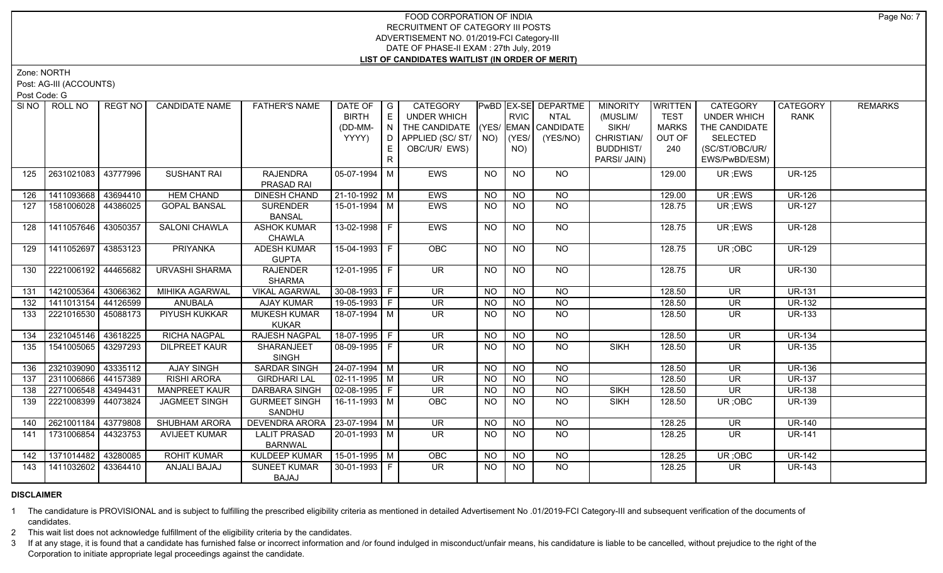Zone: NORTH

Post: AG-III (ACCOUNTS)

Post Code: G

| SI NO I | ROLL NO             | REGT NO  | <b>CANDIDATE NAME</b> | <b>FATHER'S NAME</b>                      | DATE OF<br><b>BIRTH</b> | $\overline{\phantom{a}}$ G<br>E | CATEGORY<br><b>UNDER WHICH</b>         |           | RVIC           | PwBD EX-SE DEPARTME<br><b>NTAL</b> | <b>MINORITY</b><br>(MUSLIM/ | <b>WRITTEN</b><br><b>TEST</b> | CATEGORY<br><b>UNDER WHICH</b>      | CATEGORY<br><b>RANK</b> | <b>REMARKS</b> |
|---------|---------------------|----------|-----------------------|-------------------------------------------|-------------------------|---------------------------------|----------------------------------------|-----------|----------------|------------------------------------|-----------------------------|-------------------------------|-------------------------------------|-------------------------|----------------|
|         |                     |          |                       |                                           |                         |                                 |                                        |           |                |                                    |                             |                               |                                     |                         |                |
|         |                     |          |                       |                                           | (DD-MM-<br>YYYY)        | IN<br>D                         | THE CANDIDATE (YES/ EMAN CANDIDATE     |           |                |                                    | SIKH/<br>CHRISTIAN/         | <b>MARKS</b>                  | THE CANDIDATE                       |                         |                |
|         |                     |          |                       |                                           |                         |                                 | APPLIED (SC/ ST/   NO)   (YES/         |           |                | (YES/NO)                           |                             | OUT OF                        | <b>SELECTED</b>                     |                         |                |
|         |                     |          |                       |                                           |                         | E.                              | OBC/UR/ EWS)                           |           | NO)            |                                    | <b>BUDDHIST/</b>            | 240                           | (SC/ST/OBC/UR/                      |                         |                |
|         |                     |          |                       |                                           |                         | $\mathsf{R}$                    |                                        |           |                |                                    | PARSI/ JAIN)                |                               | EWS/PwBD/ESM)                       |                         |                |
| 125     | 2631021083          | 43777996 | <b>SUSHANT RAI</b>    | <b>RAJENDRA</b>                           | $05-07-1994$ M          |                                 | EWS                                    | <b>NO</b> | <b>NO</b>      | <b>NO</b>                          |                             | 129.00                        | UR; EWS                             | <b>UR-125</b>           |                |
|         |                     |          |                       | PRASAD RAI                                |                         |                                 |                                        |           |                |                                    |                             |                               |                                     |                         |                |
| 126     | 1411093668          | 43694410 | <b>HEM CHAND</b>      | <b>DINESH CHAND</b>                       | 21-10-1992 M            |                                 | EWS                                    | <b>NO</b> | <b>NO</b>      | <b>NO</b>                          |                             | 129.00                        | UR; EWS                             | <b>UR-126</b>           |                |
| 127     | 1581006028          | 44386025 | <b>GOPAL BANSAL</b>   | <b>SURENDER</b>                           | 15-01-1994   M          |                                 | <b>EWS</b>                             | <b>NO</b> | <b>NO</b>      | <b>NO</b>                          |                             | 128.75                        | UR; EWS                             | <b>UR-127</b>           |                |
|         |                     |          |                       | <b>BANSAL</b>                             |                         |                                 |                                        |           |                |                                    |                             |                               |                                     |                         |                |
| 128     | 1411057646          | 43050357 | <b>SALONI CHAWLA</b>  | <b>ASHOK KUMAR</b>                        | 13-02-1998 F            |                                 | <b>EWS</b>                             | NO.       | <b>NO</b>      | NO                                 |                             | 128.75                        | UR ;EWS                             | <b>UR-128</b>           |                |
|         |                     |          |                       | <b>CHAWLA</b>                             |                         |                                 |                                        |           |                |                                    |                             |                               |                                     |                         |                |
| 129     | 1411052697          | 43853123 | <b>PRIYANKA</b>       | <b>ADESH KUMAR</b>                        | 15-04-1993 F            |                                 | OBC                                    | <b>NO</b> | N <sub>O</sub> | N <sub>O</sub>                     |                             | 128.75                        | UR; OBC                             | <b>UR-129</b>           |                |
|         |                     |          |                       | <b>GUPTA</b>                              |                         |                                 |                                        |           |                |                                    |                             |                               |                                     |                         |                |
| 130     | 2221006192          | 4465682  | URVASHI SHARMA        | <b>RAJENDER</b><br><b>SHARMA</b>          | 12-01-1995 F            |                                 | $\overline{\mathsf{UR}}$               | <b>NO</b> | <b>NO</b>      | $N$ O                              |                             | 128.75                        | $\overline{\mathsf{UR}}$            | <b>UR-130</b>           |                |
|         |                     |          |                       |                                           |                         |                                 |                                        |           |                | N <sub>O</sub>                     |                             |                               |                                     | <b>UR-131</b>           |                |
| 131     | 1421005364          | 43066362 | <b>MIHIKA AGARWAL</b> | <b>VIKAL AGARWAL</b>                      | 30-08-1993 F            |                                 | UR                                     | NO        | NO             |                                    |                             | 128.50                        | $\overline{\mathsf{UR}}$            |                         |                |
| 132     | 1411013154          | 44126599 | <b>ANUBALA</b>        | <b>AJAY KUMAR</b>                         | 19-05-1993 F            |                                 | <b>UR</b>                              | <b>NO</b> | NO             | N <sub>O</sub>                     |                             | 128.50                        | UR                                  | <b>UR-132</b>           |                |
| 133     | 2221016530 45088173 |          | PIYUSH KUKKAR         | <b>MUKESH KUMAR</b>                       | 18-07-1994 M            |                                 | UR.                                    | <b>NO</b> | NO.            | NO.                                |                             | 128.50                        | <b>UR</b>                           | <b>UR-133</b>           |                |
|         |                     |          | <b>RICHA NAGPAL</b>   | <b>KUKAR</b>                              | 18-07-1995   F          |                                 |                                        |           |                |                                    |                             |                               |                                     |                         |                |
| 134     | 2321045146 43618225 |          |                       | <b>RAJESH NAGPAL</b>                      |                         |                                 | <b>UR</b>                              | <b>NO</b> | $\overline{N}$ | <b>NO</b>                          |                             | 128.50                        | <b>UR</b>                           | <b>UR-134</b>           |                |
| 135     | 1541005065          | 43297293 | <b>DILPREET KAUR</b>  | <b>SHARANJEET</b><br><b>SINGH</b>         | 08-09-1995 F            |                                 | UR.                                    | <b>NO</b> | <b>NO</b>      | <b>NO</b>                          | <b>SIKH</b>                 | 128.50                        | UR.                                 | <b>UR-135</b>           |                |
| 136     | 2321039090          | 43335112 | <b>AJAY SINGH</b>     | <b>SARDAR SINGH</b>                       | 24-07-1994 M            |                                 | $\overline{\mathsf{UR}}$               | NO        | $\overline{N}$ | $\overline{NQ}$                    |                             | 128.50                        | <b>UR</b>                           | <b>UR-136</b>           |                |
| 137     | 2311006866 44157389 |          | <b>RISHI ARORA</b>    | <b>GIRDHARI LAL</b>                       | $02 - 11 - 1995$ M      |                                 | $\overline{\mathsf{UR}}$               | <b>NO</b> | $\overline{N}$ | $\overline{NQ}$                    |                             | 128.50                        | $\overline{\mathsf{UR}}$            | <b>UR-137</b>           |                |
| 138     | 2271006548 43494431 |          | <b>MANPREET KAUR</b>  | DARBARA SINGH                             | $02 - 08 - 1995$ F      |                                 | <b>UR</b>                              | <b>NO</b> | <b>NO</b>      | $\overline{NO}$                    | <b>SIKH</b>                 | 128.50                        | <b>UR</b>                           | <b>UR-138</b>           |                |
|         |                     |          |                       |                                           | 16-11-1993 M            |                                 |                                        |           |                | <b>NO</b>                          |                             |                               |                                     |                         |                |
| 139     | 2221008399          | 44073824 | JAGMEET SINGH         | <b>GURMEET SINGH</b>                      |                         |                                 | <b>OBC</b>                             | NO.       | <b>NO</b>      |                                    | <b>SIKH</b>                 | 128.50                        | UR; OBC                             | <b>UR-139</b>           |                |
| 140     | 2621001184          | 43779808 | <b>SHUBHAM ARORA</b>  | SANDHU<br>DEVENDRA ARORA   23-07-1994   M |                         |                                 | <b>UR</b>                              |           | <b>NO</b>      | <b>NO</b>                          |                             | 128.25                        | <b>UR</b>                           | <b>UR-140</b>           |                |
|         |                     |          |                       |                                           | $20 - 01 - 1993$ M      |                                 | $\overline{\mathsf{UR}}$               | NO.       | N <sub>O</sub> | $N$ <sup>O</sup>                   |                             |                               |                                     |                         |                |
| 141     | 1731006854          | 44323753 | <b>AVIJEET KUMAR</b>  | <b>LALIT PRASAD</b>                       |                         |                                 |                                        | NO        |                |                                    |                             | 128.25                        | <b>UR</b>                           | <b>UR-141</b>           |                |
|         | 1371014482          | 43280085 | <b>ROHIT KUMAR</b>    | <b>BARNWAL</b><br><b>KULDEEP KUMAR</b>    | 15-01-1995 M            |                                 |                                        |           | <b>NO</b>      | <b>NO</b>                          |                             | 128.25                        |                                     | <b>UR-142</b>           |                |
| 142     | 1411032602          |          |                       | <b>SUNEET KUMAR</b>                       |                         |                                 | <b>OBC</b><br>$\overline{\mathsf{UR}}$ | <b>NO</b> |                | N <sub>O</sub>                     |                             |                               | UR; OBC<br>$\overline{\mathsf{UR}}$ | <b>UR-143</b>           |                |
| 143     |                     | 43364410 | ANJALI BAJAJ          |                                           | 30-01-1993 F            |                                 |                                        | NO        | <b>NO</b>      |                                    |                             | 128.25                        |                                     |                         |                |
|         |                     |          |                       | BAJAJ                                     |                         |                                 |                                        |           |                |                                    |                             |                               |                                     |                         |                |

# **DISCLAIMER**

1 The candidature is PROVISIONAL and is subject to fulfilling the prescribed eligibility criteria as mentioned in detailed Advertisement No .01/2019-FCI Category-III and subsequent verification of the documents of candidates.

2 This wait list does not acknowledge fulfillment of the eligibility criteria by the candidates.

3 If at any stage, it is found that a candidate has furnished false or incorrect information and /or found indulged in misconduct/unfair means, his candidature is liable to be cancelled, without prejudice to the right of t Corporation to initiate appropriate legal proceedings against the candidate.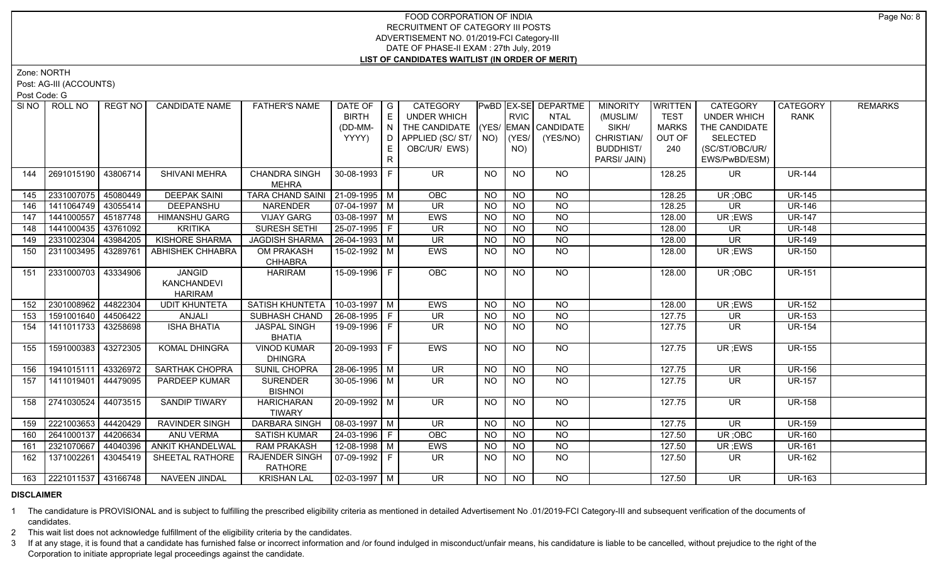Zone: NORTH

Post: AG-III (ACCOUNTS)

Post Code: G

|     | SINO ROLL NO            | REGT NO  | <b>CANDIDATE NAME</b>   | <b>FATHER'S NAME</b>                    | DATE OF<br><b>BIRTH</b> | G<br>E   | CATEGORY<br>UNDER WHICH                                      |           | <b>RVIC</b>     | PwBD EX-SE DEPARTME<br><b>NTAL</b> | <b>MINORITY</b><br>(MUSLIM/ | <b>WRITTEN</b><br><b>TEST</b> | <b>CATEGORY</b><br><b>UNDER WHICH</b> | <b>CATEGORY</b><br><b>RANK</b> | <b>REMARKS</b> |
|-----|-------------------------|----------|-------------------------|-----------------------------------------|-------------------------|----------|--------------------------------------------------------------|-----------|-----------------|------------------------------------|-----------------------------|-------------------------------|---------------------------------------|--------------------------------|----------------|
|     |                         |          |                         |                                         |                         |          |                                                              |           |                 |                                    |                             |                               |                                       |                                |                |
|     |                         |          |                         |                                         | (DD-MM-<br>YYYY)        | N I<br>D | THE CANDIDATE (YES/ EMAN CANDIDATE<br>APPLIED (SC/ ST/   NO) |           | (YES/           | (YES/NO)                           | SIKH/<br>CHRISTIAN/         | <b>MARKS</b><br>OUT OF        | THE CANDIDATE<br><b>SELECTED</b>      |                                |                |
|     |                         |          |                         |                                         |                         |          | OBC/UR/ EWS)                                                 |           | NO)             |                                    | <b>BUDDHIST/</b>            | 240                           | (SC/ST/OBC/UR/                        |                                |                |
|     |                         |          |                         |                                         |                         | R        |                                                              |           |                 |                                    | PARSI/ JAIN)                |                               | EWS/PwBD/ESM)                         |                                |                |
|     |                         |          |                         |                                         |                         |          |                                                              |           |                 |                                    |                             |                               |                                       |                                |                |
| 144 | 2691015190              | 43806714 | SHIVANI MEHRA           | <b>CHANDRA SINGH</b><br><b>MEHRA</b>    | $30 - 08 - 1993$ F      |          | <b>UR</b>                                                    | <b>NO</b> | <b>NO</b>       | <b>NO</b>                          |                             | 128.25                        | <b>UR</b>                             | <b>UR-144</b>                  |                |
| 145 | 2331007075              | 45080449 | <b>DEEPAK SAINI</b>     | TARA CHAND SAINI   21-09-1995   M       |                         |          | OBC                                                          | NO.       | <b>NO</b>       | <b>NO</b>                          |                             | 128.25                        | UR; OBC                               | <b>UR-145</b>                  |                |
| 146 | 1411064749              | 43055414 | DEEPANSHU               | <b>NARENDER</b>                         | $07-04-1997$ M          |          | <b>UR</b>                                                    | <b>NO</b> | <b>NO</b>       | <b>NO</b>                          |                             | 128.25                        | <b>UR</b>                             | <b>UR-146</b>                  |                |
| 147 | 1441000557              | 45187748 | <b>HIMANSHU GARG</b>    | <b>VIJAY GARG</b>                       | 03-08-1997   M          |          | <b>EWS</b>                                                   | <b>NO</b> | <b>NO</b>       | <b>NO</b>                          |                             | 128.00                        | UR; EWS                               | <b>UR-147</b>                  |                |
| 148 | 1441000435 43761092     |          | <b>KRITIKA</b>          | <b>SURESH SETHI</b>                     | 25-07-1995 F            |          | <b>UR</b>                                                    | <b>NO</b> | <b>NO</b>       | <b>NO</b>                          |                             | 128.00                        | UR                                    | <b>UR-148</b>                  |                |
| 149 | 2331002304              | 43984205 | <b>KISHORE SHARMA</b>   | <b>JAGDISH SHARMA</b>                   | 26-04-1993 M            |          | <b>UR</b>                                                    | <b>NO</b> | <b>NO</b>       | <b>NO</b>                          |                             | 128.00                        | <b>UR</b>                             | <b>UR-149</b>                  |                |
| 150 | 2311003495              | 43289761 | <b>ABHISHEK CHHABRA</b> | OM PRAKASH                              | 15-02-1992   M          |          | EWS                                                          | NO.       | <b>NO</b>       | <b>NO</b>                          |                             | 128.00                        | UR; EWS                               | <b>UR-150</b>                  |                |
|     |                         |          |                         | <b>CHHABRA</b>                          |                         |          |                                                              |           |                 |                                    |                             |                               |                                       |                                |                |
| 151 | 2331000703              | 43334906 | <b>JANGID</b>           | <b>HARIRAM</b>                          | 15-09-1996 F            |          | OBC                                                          | <b>NO</b> | $\overline{NQ}$ | $N$ <sup>O</sup>                   |                             | 128.00                        | UR; OBC                               | <b>UR-151</b>                  |                |
|     |                         |          | KANCHANDEVI             |                                         |                         |          |                                                              |           |                 |                                    |                             |                               |                                       |                                |                |
|     |                         |          | <b>HARIRAM</b>          |                                         |                         |          |                                                              |           |                 |                                    |                             |                               |                                       |                                |                |
| 152 | 2301008962              | 44822304 | <b>UDIT KHUNTETA</b>    | SATISH KHUNTETA                         | 10-03-1997   M          |          | EWS                                                          | <b>NO</b> | <b>NO</b>       | <b>NO</b>                          |                             | 128.00                        | UR ;EWS                               | <b>UR-152</b>                  |                |
| 153 | 1591001640              | 44506422 | ANJALI                  | SUBHASH CHAND                           | 26-08-1995 F            |          | <b>UR</b>                                                    | <b>NO</b> | <b>NO</b>       | <b>NO</b>                          |                             | 127.75                        | <b>UR</b>                             | <b>UR-153</b>                  |                |
| 154 | 1411011733              | 43258698 | <b>ISHA BHATIA</b>      | <b>JASPAL SINGH</b><br><b>BHATIA</b>    | 19-09-1996 F            |          | UR.                                                          | NO.       | <b>NO</b>       | <b>NO</b>                          |                             | 127.75                        | <b>UR</b>                             | <b>UR-154</b>                  |                |
| 155 | 1591000383              | 43272305 | KOMAL DHINGRA           | <b>VINOD KUMAR</b>                      | 20-09-1993 F            |          | EWS                                                          | NO        | <b>NO</b>       | NO                                 |                             | 127.75                        | UR; EWS                               | <b>UR-155</b>                  |                |
|     |                         |          |                         | <b>DHINGRA</b>                          |                         |          |                                                              |           |                 |                                    |                             |                               |                                       |                                |                |
| 156 | 1941015111              | 43326972 | <b>SARTHAK CHOPRA</b>   | SUNIL CHOPRA                            | $28-06-1995$ M          |          | <b>UR</b>                                                    | <b>NO</b> | <b>NO</b>       | <b>NO</b>                          |                             | 127.75                        | <b>UR</b>                             | <b>UR-156</b>                  |                |
| 157 | 1411019401              | 44479095 | PARDEEP KUMAR           | <b>SURENDER</b><br><b>BISHNOI</b>       | 30-05-1996 M            |          | <b>UR</b>                                                    | NO.       | <b>NO</b>       | NO.                                |                             | 127.75                        | <b>UR</b>                             | <b>UR-157</b>                  |                |
| 158 | 2741030524              | 44073515 | <b>SANDIP TIWARY</b>    | <b>HARICHARAN</b>                       | $20-09-1992$ M          |          | <b>UR</b>                                                    | <b>NO</b> | N <sub>O</sub>  | N <sub>O</sub>                     |                             | 127.75                        | $\overline{\mathsf{UR}}$              | <b>UR-158</b>                  |                |
|     |                         |          |                         | <b>TIWARY</b>                           |                         |          |                                                              |           |                 |                                    |                             |                               |                                       |                                |                |
| 159 | 2221003653              | 44420429 | <b>RAVINDER SINGH</b>   | <b>DARBARA SINGH</b>                    | $08-03-1997$ M          |          | $\overline{\mathsf{UR}}$                                     | <b>NO</b> | N <sub>O</sub>  | $N$ O                              |                             | 127.75                        | $\overline{\mathsf{UR}}$              | <b>UR-159</b>                  |                |
| 160 | 2641000137              | 44206634 | ANU VERMA               | <b>SATISH KUMAR</b>                     | 24-03-1996   F          |          | OBC                                                          | NO.       | <b>NO</b>       | $N$ O                              |                             | 127.50                        | UR; OBC                               | <b>UR-160</b>                  |                |
| 161 | 2321070667              | 44040396 | <b>ANKIT KHANDELWAL</b> | <b>RAM PRAKASH</b>                      | 12-08-1998 M            |          | EWS                                                          | <b>NO</b> | <b>NO</b>       | $N$ O                              |                             | 127.50                        | UR; EWS                               | <b>UR-161</b>                  |                |
| 162 | 1371002261              | 43045419 | SHEETAL RATHORE         | <b>RAJENDER SINGH</b><br><b>RATHORE</b> | 07-09-1992 F            |          | UR.                                                          | NO.       | NO.             | NO.                                |                             | 127.50                        | UR.                                   | <b>UR-162</b>                  |                |
|     | 163 2221011537 43166748 |          | <b>NAVEEN JINDAL</b>    | <b>KRISHAN LAL</b>                      | 02-03-1997 M            |          | <b>UR</b>                                                    | NO        | <b>NO</b>       | NO.                                |                             | 127.50                        | <b>UR</b>                             | <b>UR-163</b>                  |                |

#### **DISCLAIMER**

1 The candidature is PROVISIONAL and is subject to fulfilling the prescribed eligibility criteria as mentioned in detailed Advertisement No .01/2019-FCI Category-III and subsequent verification of the documents of candidates.

2 This wait list does not acknowledge fulfillment of the eligibility criteria by the candidates.

3 If at any stage, it is found that a candidate has furnished false or incorrect information and /or found indulged in misconduct/unfair means, his candidature is liable to be cancelled, without prejudice to the right of t Corporation to initiate appropriate legal proceedings against the candidate.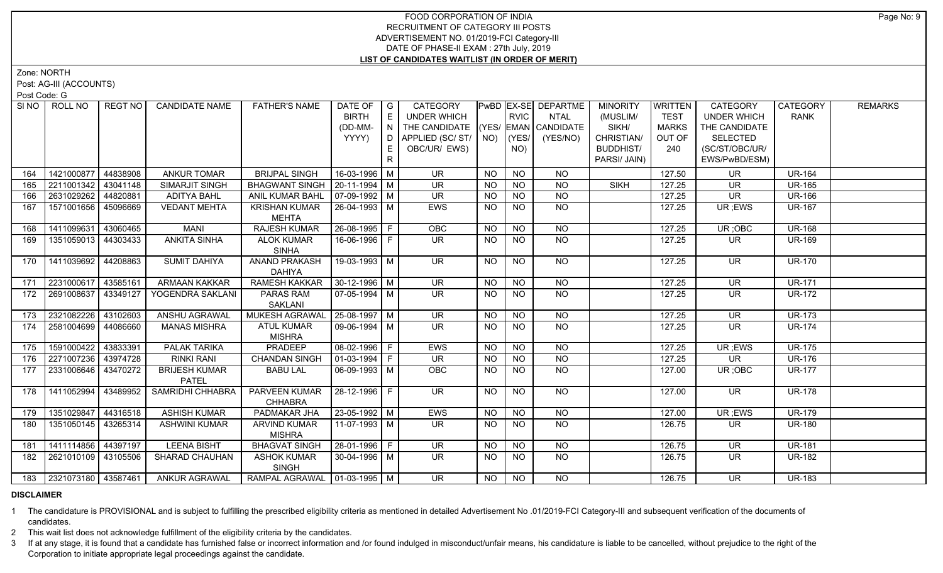Zone: NORTH

Post: AG-III (ACCOUNTS)

Post Code: G

| SINO | ROLL NO             | REGT NO                 | <b>CANDIDATE NAME</b>                | <b>FATHER'S NAME</b>                 | DATE OF               | $\overline{\phantom{a}}$ G | CATEGORY                           |           |                 | PwBD EX-SE DEPARTME | <b>MINORITY</b>  | <b>WRITTEN</b> | <b>CATEGORY</b>          | <b>CATEGORY</b> | <b>REMARKS</b> |
|------|---------------------|-------------------------|--------------------------------------|--------------------------------------|-----------------------|----------------------------|------------------------------------|-----------|-----------------|---------------------|------------------|----------------|--------------------------|-----------------|----------------|
|      |                     |                         |                                      |                                      | <b>BIRTH</b>          | E                          | UNDER WHICH                        |           | <b>RVIC</b>     | NTAL                | (MUSLIM/         | <b>TEST</b>    | <b>UNDER WHICH</b>       | <b>RANK</b>     |                |
|      |                     |                         |                                      |                                      | (DD-MM-               | N                          | THE CANDIDATE (YES/ EMAN CANDIDATE |           |                 |                     | SIKH/            | <b>MARKS</b>   | THE CANDIDATE            |                 |                |
|      |                     |                         |                                      |                                      | YYYY)                 | D                          | APPLIED (SC/ ST/   NO)             |           | (YES/           | (YES/NO)            | CHRISTIAN/       | OUT OF         | <b>SELECTED</b>          |                 |                |
|      |                     |                         |                                      |                                      |                       |                            | OBC/UR/ EWS)                       |           | NO)             |                     | <b>BUDDHIST/</b> | 240            | (SC/ST/OBC/UR/           |                 |                |
|      |                     |                         |                                      |                                      |                       | R                          |                                    |           |                 |                     | PARSI/ JAIN)     |                | EWS/PwBD/ESM)            |                 |                |
| 164  |                     | 1421000877 44838908     | <b>ANKUR TOMAR</b>                   | <b>BRIJPAL SINGH</b>                 | 16-03-1996 M          |                            | <b>UR</b>                          | <b>NO</b> | <b>NO</b>       | <b>NO</b>           |                  | 127.50         | <b>UR</b>                | <b>UR-164</b>   |                |
| 165  |                     | 2211001342 43041148     | SIMARJIT SINGH                       | BHAGWANT SINGH   20-11-1994   M      |                       |                            | <b>UR</b>                          | NO.       | <b>NO</b>       | <b>NO</b>           | <b>SIKH</b>      | 127.25         | UR.                      | <b>UR-165</b>   |                |
| 166  |                     | 2631029262 44820881     | <b>ADITYA BAHL</b>                   | ANIL KUMAR BAHL                      | $\sqrt{07-09-1992}$ M |                            | <b>UR</b>                          | <b>NO</b> | NO              | $N$ O               |                  | 127.25         | <b>UR</b>                | <b>UR-166</b>   |                |
| 167  |                     | 1571001656   45096669   | <b>VEDANT MEHTA</b>                  | <b>KRISHAN KUMAR</b><br><b>MEHTA</b> | $ 26-04-1993 M$       |                            | <b>EWS</b>                         | NO.       | <b>NO</b>       | <b>NO</b>           |                  | 127.25         | UR; EWS                  | <b>UR-167</b>   |                |
| 168  | 1411099631          | 43060465                | <b>MANI</b>                          | <b>RAJESH KUMAR</b>                  | $26 - 08 - 1995$ F    |                            | OBC                                | <b>NO</b> | <b>NO</b>       | <b>NO</b>           |                  | 127.25         | UR; OBC                  | <b>UR-168</b>   |                |
| 169  |                     | 1351059013 44303433     | <b>ANKITA SINHA</b>                  | <b>ALOK KUMAR</b><br><b>SINHA</b>    | 16-06-1996 F          |                            | UR.                                | NO.       | <b>NO</b>       | <b>NO</b>           |                  | 127.25         | UR.                      | <b>UR-169</b>   |                |
| 170  |                     | 1411039692 44208863     | <b>SUMIT DAHIYA</b>                  | ANAND PRAKASH<br><b>DAHIYA</b>       | 19-03-1993 M          |                            | <b>UR</b>                          | <b>NO</b> | <b>NO</b>       | NO                  |                  | 127.25         | UR.                      | <b>UR-170</b>   |                |
| 171  | 2231000617 43585161 |                         | ARMAAN KAKKAR                        | <b>RAMESH KAKKAR</b>                 | $30-12-1996$ M        |                            | <b>UR</b>                          | <b>NO</b> | N <sub>O</sub>  | <b>NO</b>           |                  | 127.25         | UR                       | <b>UR-171</b>   |                |
| 172  |                     | 2691008637   43349127   | YOGENDRA SAKLANI                     | PARAS RAM<br>SAKLANI                 | 07-05-1994   M        |                            | UR.                                | <b>NO</b> | <b>NO</b>       | <b>NO</b>           |                  | 127.25         | UR.                      | <b>UR-172</b>   |                |
| 173  |                     | 2321082226 43102603     | ANSHU AGRAWAL                        | MUKESH AGRAWAL                       | $25-08-1997$ M        |                            | $\overline{\mathsf{UR}}$           | <b>NO</b> | $N$ O           | $N$ O               |                  | 127.25         | <b>UR</b>                | <b>UR-173</b>   |                |
| 174  |                     | 2581004699 44086660     | <b>MANAS MISHRA</b>                  | <b>ATUL KUMAR</b><br><b>MISHRA</b>   | $\sqrt{09-06-1994}$ M |                            | <b>UR</b>                          | <b>NO</b> | N <sub>O</sub>  | N <sub>O</sub>      |                  | 127.25         | <b>UR</b>                | <b>UR-174</b>   |                |
| 175  | 1591000422 43833391 |                         | <b>PALAK TARIKA</b>                  | PRADEEP                              | 08-02-1996 F          |                            | <b>EWS</b>                         | <b>NO</b> | <b>NO</b>       | <b>NO</b>           |                  | 127.25         | UR; EWS                  | <b>UR-175</b>   |                |
| 176  |                     | 2271007236   43974728   | RINKI RANI                           | <b>CHANDAN SINGH</b>                 | $ 01-03-1994 F$       |                            | UR                                 | <b>NO</b> | <b>NO</b>       | <b>NO</b>           |                  | 127.25         | UR                       | <b>UR-176</b>   |                |
| 177  |                     | 2331006646   43470272   | <b>BRIJESH KUMAR</b><br><b>PATEL</b> | <b>BABU LAL</b>                      | 06-09-1993   M        |                            | OBC                                | <b>NO</b> | <b>NO</b>       | <b>NO</b>           |                  | 127.00         | UR; OBC                  | <b>UR-177</b>   |                |
| 178  | 1411052994          | 43489952                | SAMRIDHI CHHABRA                     | PARVEEN KUMAR<br><b>CHHABRA</b>      | $ 28-12-1996 F$       |                            | <b>UR</b>                          | <b>NO</b> | <b>NO</b>       | <b>NO</b>           |                  | 127.00         | <b>UR</b>                | <b>UR-178</b>   |                |
| 179  |                     | 1351029847 44316518     | <b>ASHISH KUMAR</b>                  | <b>PADMAKAR JHA</b>                  | 23-05-1992 M          |                            | <b>EWS</b>                         | <b>NO</b> | $\overline{NO}$ | $\overline{NO}$     |                  | 127.00         | UR; EWS                  | <b>UR-179</b>   |                |
| 180  |                     | 1351050145 43265314     | <b>ASHWINI KUMAR</b>                 | <b>ARVIND KUMAR</b><br><b>MISHRA</b> | 11-07-1993   M        |                            | <b>UR</b>                          | NO.       | <b>NO</b>       | <b>NO</b>           |                  | 126.75         | UR.                      | <b>UR-180</b>   |                |
| 181  |                     | 1411114856 44397197     | <b>LEENA BISHT</b>                   | <b>BHAGVAT SINGH</b>                 | 28-01-1996 F          |                            | UR                                 | <b>NO</b> | <b>NO</b>       | <b>NO</b>           |                  | 126.75         | <b>UR</b>                | <b>UR-181</b>   |                |
| 182  |                     | 2621010109 43105506     | SHARAD CHAUHAN                       | <b>ASHOK KUMAR</b><br><b>SINGH</b>   | 30-04-1996 M          |                            | UR.                                | <b>NO</b> | <b>NO</b>       | NO                  |                  | 126.75         | UR.                      | <b>UR-182</b>   |                |
|      |                     | 183 2321073180 43587461 | <b>ANKUR AGRAWAL</b>                 | RAMPAL AGRAWAL   01-03-1995   M      |                       |                            | $\overline{\mathsf{UR}}$           | NO.       | $N$ O           | <b>NO</b>           |                  | 126.75         | $\overline{\mathsf{UR}}$ | <b>UR-183</b>   |                |
|      |                     |                         |                                      |                                      |                       |                            |                                    |           |                 |                     |                  |                |                          |                 |                |

## **DISCLAIMER**

1 The candidature is PROVISIONAL and is subject to fulfilling the prescribed eligibility criteria as mentioned in detailed Advertisement No .01/2019-FCI Category-III and subsequent verification of the documents of candidates.

2 This wait list does not acknowledge fulfillment of the eligibility criteria by the candidates.

3 If at any stage, it is found that a candidate has furnished false or incorrect information and /or found indulged in misconduct/unfair means, his candidature is liable to be cancelled, without prejudice to the right of t Corporation to initiate appropriate legal proceedings against the candidate.